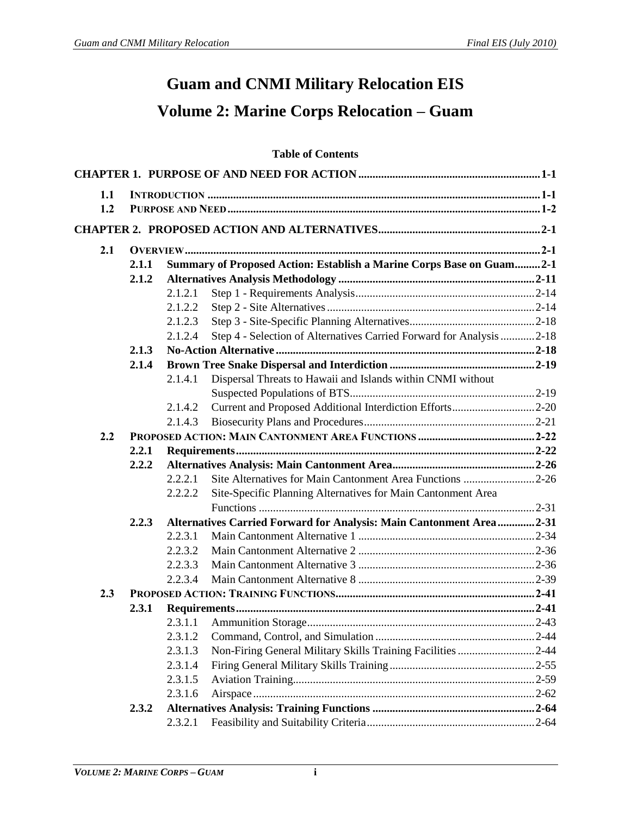## **Guam and CNMI Military Relocation EIS Volume 2: Marine Corps Relocation – Guam**

## **Table of Contents**

| 1.1 |       |         |                                                                      |  |
|-----|-------|---------|----------------------------------------------------------------------|--|
| 1.2 |       |         |                                                                      |  |
|     |       |         |                                                                      |  |
| 2.1 |       |         |                                                                      |  |
|     | 2.1.1 |         | Summary of Proposed Action: Establish a Marine Corps Base on Guam2-1 |  |
|     | 2.1.2 |         |                                                                      |  |
|     |       | 2.1.2.1 |                                                                      |  |
|     |       | 2.1.2.2 |                                                                      |  |
|     |       | 2.1.2.3 |                                                                      |  |
|     |       | 2.1.2.4 | Step 4 - Selection of Alternatives Carried Forward for Analysis 2-18 |  |
|     | 2.1.3 |         |                                                                      |  |
|     | 2.1.4 |         |                                                                      |  |
|     |       | 2.1.4.1 | Dispersal Threats to Hawaii and Islands within CNMI without          |  |
|     |       |         |                                                                      |  |
|     |       | 2.1.4.2 | Current and Proposed Additional Interdiction Efforts2-20             |  |
|     |       | 2.1.4.3 |                                                                      |  |
| 2.2 |       |         |                                                                      |  |
|     | 2.2.1 |         |                                                                      |  |
|     | 2.2.2 |         |                                                                      |  |
|     |       | 2.2.2.1 | Site Alternatives for Main Cantonment Area Functions 2-26            |  |
|     |       | 2.2.2.2 | Site-Specific Planning Alternatives for Main Cantonment Area         |  |
|     |       |         |                                                                      |  |
|     | 2.2.3 |         | Alternatives Carried Forward for Analysis: Main Cantonment Area2-31  |  |
|     |       | 2.2.3.1 |                                                                      |  |
|     |       | 2.2.3.2 |                                                                      |  |
|     |       | 2.2.3.3 |                                                                      |  |
|     |       | 2.2.3.4 |                                                                      |  |
| 2.3 |       |         |                                                                      |  |
|     | 2.3.1 |         |                                                                      |  |
|     |       | 2.3.1.1 |                                                                      |  |
|     |       | 2.3.1.2 |                                                                      |  |
|     |       | 2.3.1.3 | Non-Firing General Military Skills Training Facilities 2-44          |  |
|     |       | 2.3.1.4 |                                                                      |  |
|     |       | 2.3.1.5 |                                                                      |  |
|     |       | 2.3.1.6 |                                                                      |  |
|     | 2.3.2 |         |                                                                      |  |
|     |       | 2.3.2.1 |                                                                      |  |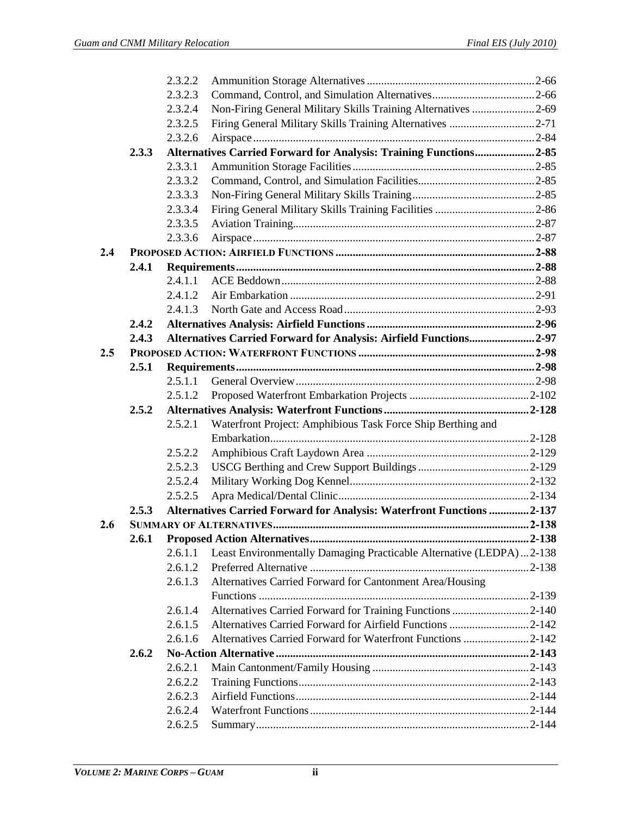|     |       | 2.3.2.2            |                                                                       |  |
|-----|-------|--------------------|-----------------------------------------------------------------------|--|
|     |       | 2.3.2.3            |                                                                       |  |
|     |       | 2.3.2.4            | Non-Firing General Military Skills Training Alternatives 2-69         |  |
|     |       | 2.3.2.5            | Firing General Military Skills Training Alternatives 2-71             |  |
|     |       | 2.3.2.6            |                                                                       |  |
|     | 2.3.3 |                    | Alternatives Carried Forward for Analysis: Training Functions2-85     |  |
|     |       | 2.3.3.1            |                                                                       |  |
|     |       | 2.3.3.2            |                                                                       |  |
|     |       | 2.3.3.3            |                                                                       |  |
|     |       | 2.3.3.4            |                                                                       |  |
|     |       | 2.3.3.5            |                                                                       |  |
|     |       | 2.3.3.6            |                                                                       |  |
| 2.4 |       |                    |                                                                       |  |
|     | 2.4.1 |                    |                                                                       |  |
|     |       | 2.4.1.1            |                                                                       |  |
|     |       | 2.4.1.2            |                                                                       |  |
|     |       | 2.4.1.3            |                                                                       |  |
|     | 2.4.2 |                    |                                                                       |  |
|     | 2.4.3 |                    | Alternatives Carried Forward for Analysis: Airfield Functions2-97     |  |
| 2.5 |       |                    |                                                                       |  |
|     | 2.5.1 |                    |                                                                       |  |
|     |       | 2.5.1.1            |                                                                       |  |
|     |       | 2.5.1.2            |                                                                       |  |
|     |       |                    |                                                                       |  |
|     | 2.5.2 |                    |                                                                       |  |
|     |       | 2.5.2.1            | Waterfront Project: Amphibious Task Force Ship Berthing and           |  |
|     |       |                    |                                                                       |  |
|     |       | 2.5.2.2            |                                                                       |  |
|     |       | 2.5.2.3            |                                                                       |  |
|     |       | 2.5.2.4            |                                                                       |  |
|     |       | 2.5.2.5            |                                                                       |  |
|     | 2.5.3 |                    | Alternatives Carried Forward for Analysis: Waterfront Functions 2-137 |  |
| 2.6 |       |                    |                                                                       |  |
|     | 2.6.1 |                    |                                                                       |  |
|     |       | 2.6.1.1            | Least Environmentally Damaging Practicable Alternative (LEDPA)2-138   |  |
|     |       | 2.6.1.2            |                                                                       |  |
|     |       | 2.6.1.3            | Alternatives Carried Forward for Cantonment Area/Housing              |  |
|     |       |                    |                                                                       |  |
|     |       | 2.6.1.4            | Alternatives Carried Forward for Training Functions 2-140             |  |
|     |       | 2.6.1.5            | Alternatives Carried Forward for Airfield Functions 2-142             |  |
|     |       | 2.6.1.6            | Alternatives Carried Forward for Waterfront Functions 2-142           |  |
|     | 2.6.2 |                    |                                                                       |  |
|     |       | 2.6.2.1            |                                                                       |  |
|     |       | 2.6.2.2            |                                                                       |  |
|     |       | 2.6.2.3            |                                                                       |  |
|     |       | 2.6.2.4<br>2.6.2.5 |                                                                       |  |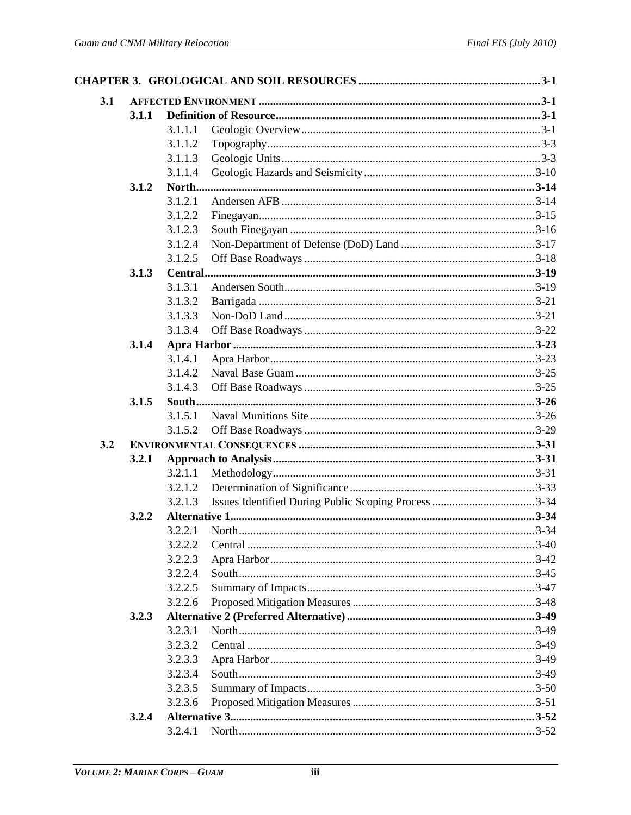| 3.1 |       |         |  |
|-----|-------|---------|--|
|     | 3.1.1 |         |  |
|     |       | 3.1.1.1 |  |
|     |       | 3.1.1.2 |  |
|     |       | 3.1.1.3 |  |
|     |       | 3.1.1.4 |  |
|     | 3.1.2 |         |  |
|     |       | 3.1.2.1 |  |
|     |       | 3.1.2.2 |  |
|     |       | 3.1.2.3 |  |
|     |       | 3.1.2.4 |  |
|     |       | 3.1.2.5 |  |
|     | 3.1.3 |         |  |
|     |       | 3.1.3.1 |  |
|     |       | 3.1.3.2 |  |
|     |       | 3.1.3.3 |  |
|     |       | 3.1.3.4 |  |
|     | 3.1.4 |         |  |
|     |       | 3.1.4.1 |  |
|     |       | 3.1.4.2 |  |
|     |       |         |  |
|     |       | 3.1.4.3 |  |
|     | 3.1.5 |         |  |
|     |       | 3.1.5.1 |  |
|     |       | 3.1.5.2 |  |
| 3.2 |       |         |  |
|     | 3.2.1 |         |  |
|     |       | 3.2.1.1 |  |
|     |       | 3.2.1.2 |  |
|     |       | 3.2.1.3 |  |
|     | 3.2.2 |         |  |
|     |       | 3.2.2.1 |  |
|     |       | 3.2.2.2 |  |
|     |       | 3.2.2.3 |  |
|     |       | 3.2.2.4 |  |
|     |       | 3.2.2.5 |  |
|     |       | 3.2.2.6 |  |
|     | 3.2.3 |         |  |
|     |       | 3.2.3.1 |  |
|     |       | 3.2.3.2 |  |
|     |       | 3.2.3.3 |  |
|     |       | 3.2.3.4 |  |
|     |       | 3.2.3.5 |  |
|     |       | 3.2.3.6 |  |
|     | 3.2.4 |         |  |
|     |       | 3.2.4.1 |  |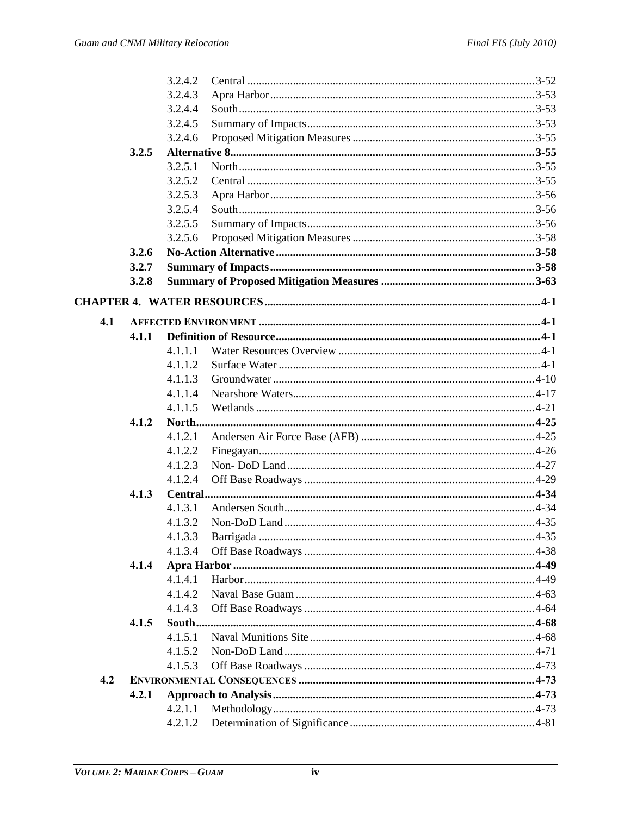|     |       | 3.2.4.2 |  |
|-----|-------|---------|--|
|     |       | 3.2.4.3 |  |
|     |       | 3.2.4.4 |  |
|     |       | 3.2.4.5 |  |
|     |       | 3.2.4.6 |  |
|     | 3.2.5 |         |  |
|     |       | 3.2.5.1 |  |
|     |       | 3.2.5.2 |  |
|     |       | 3.2.5.3 |  |
|     |       | 3.2.5.4 |  |
|     |       | 3.2.5.5 |  |
|     |       | 3.2.5.6 |  |
|     | 3.2.6 |         |  |
|     | 3.2.7 |         |  |
|     | 3.2.8 |         |  |
|     |       |         |  |
| 4.1 |       |         |  |
|     | 4.1.1 |         |  |
|     |       | 4.1.1.1 |  |
|     |       | 4.1.1.2 |  |
|     |       | 4.1.1.3 |  |
|     |       | 4.1.1.4 |  |
|     |       | 4.1.1.5 |  |
|     | 4.1.2 |         |  |
|     |       | 4.1.2.1 |  |
|     |       | 4.1.2.2 |  |
|     |       | 4.1.2.3 |  |
|     |       | 4.1.2.4 |  |
|     | 4.1.3 |         |  |
|     |       | 4.1.3.1 |  |
|     |       | 4.1.3.2 |  |
|     |       | 4.1.3.3 |  |
|     |       | 4.1.3.4 |  |
|     | 4.1.4 |         |  |
|     |       | 4.1.4.1 |  |
|     |       | 4.1.4.2 |  |
|     |       | 4.1.4.3 |  |
|     | 4.1.5 |         |  |
|     |       | 4.1.5.1 |  |
|     |       | 4.1.5.2 |  |
|     |       | 4.1.5.3 |  |
| 4.2 |       |         |  |
|     | 4.2.1 |         |  |
|     |       | 4.2.1.1 |  |
|     |       | 4.2.1.2 |  |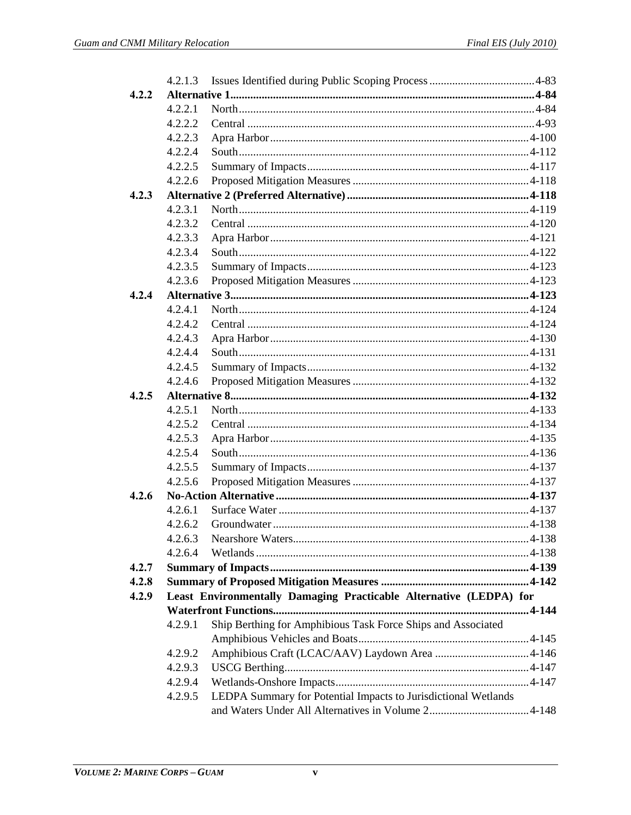|       | 4.2.1.3 |                                                                    |  |
|-------|---------|--------------------------------------------------------------------|--|
| 4.2.2 |         |                                                                    |  |
|       | 4.2.2.1 |                                                                    |  |
|       | 4.2.2.2 |                                                                    |  |
|       | 4.2.2.3 |                                                                    |  |
|       | 4.2.2.4 |                                                                    |  |
|       | 4.2.2.5 |                                                                    |  |
|       | 4.2.2.6 |                                                                    |  |
| 4.2.3 |         |                                                                    |  |
|       | 4.2.3.1 |                                                                    |  |
|       | 4.2.3.2 |                                                                    |  |
|       | 4.2.3.3 |                                                                    |  |
|       | 4.2.3.4 |                                                                    |  |
|       | 4.2.3.5 |                                                                    |  |
|       | 4.2.3.6 |                                                                    |  |
| 4.2.4 |         |                                                                    |  |
|       | 4.2.4.1 |                                                                    |  |
|       | 4.2.4.2 |                                                                    |  |
|       | 4.2.4.3 |                                                                    |  |
|       | 4.2.4.4 |                                                                    |  |
|       | 4.2.4.5 |                                                                    |  |
|       | 4.2.4.6 |                                                                    |  |
| 4.2.5 |         |                                                                    |  |
|       | 4.2.5.1 |                                                                    |  |
|       | 4.2.5.2 |                                                                    |  |
|       | 4.2.5.3 |                                                                    |  |
|       | 4.2.5.4 |                                                                    |  |
|       | 4.2.5.5 |                                                                    |  |
|       | 4.2.5.6 |                                                                    |  |
| 4.2.6 |         |                                                                    |  |
|       | 4.2.6.1 |                                                                    |  |
|       | 4.2.6.2 |                                                                    |  |
|       | 4.2.6.3 |                                                                    |  |
|       | 4.2.6.4 |                                                                    |  |
| 4.2.7 |         |                                                                    |  |
| 4.2.8 |         |                                                                    |  |
| 4.2.9 |         | Least Environmentally Damaging Practicable Alternative (LEDPA) for |  |
|       |         |                                                                    |  |
|       | 4.2.9.1 | Ship Berthing for Amphibious Task Force Ships and Associated       |  |
|       |         |                                                                    |  |
|       | 4.2.9.2 |                                                                    |  |
|       | 4.2.9.3 |                                                                    |  |
|       | 4.2.9.4 |                                                                    |  |
|       | 4.2.9.5 | LEDPA Summary for Potential Impacts to Jurisdictional Wetlands     |  |
|       |         |                                                                    |  |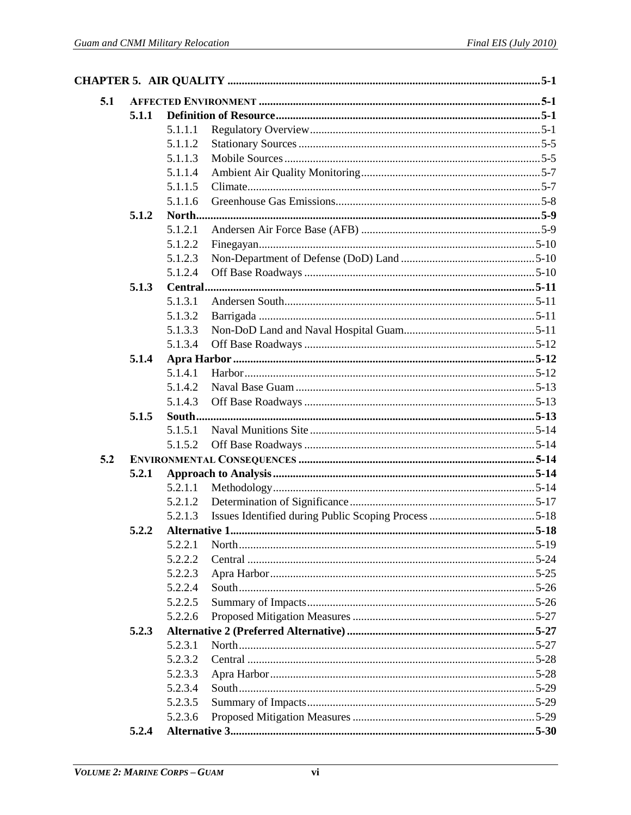| 5.1 |       |         |  |
|-----|-------|---------|--|
|     | 5.1.1 |         |  |
|     |       | 5.1.1.1 |  |
|     |       | 5.1.1.2 |  |
|     |       | 5.1.1.3 |  |
|     |       | 5.1.1.4 |  |
|     |       | 5.1.1.5 |  |
|     |       | 5.1.1.6 |  |
|     | 5.1.2 |         |  |
|     |       | 5.1.2.1 |  |
|     |       | 5.1.2.2 |  |
|     |       | 5.1.2.3 |  |
|     |       | 5.1.2.4 |  |
|     | 5.1.3 |         |  |
|     |       | 5.1.3.1 |  |
|     |       | 5.1.3.2 |  |
|     |       | 5.1.3.3 |  |
|     |       | 5.1.3.4 |  |
|     | 5.1.4 |         |  |
|     |       | 5.1.4.1 |  |
|     |       | 5.1.4.2 |  |
|     |       | 5.1.4.3 |  |
|     | 5.1.5 |         |  |
|     |       | 5.1.5.1 |  |
|     |       | 5.1.5.2 |  |
| 5.2 |       |         |  |
|     | 5.2.1 |         |  |
|     |       | 5.2.1.1 |  |
|     |       | 5.2.1.2 |  |
|     |       | 5.2.1.3 |  |
|     | 5.2.2 |         |  |
|     |       | 5.2.2.1 |  |
|     |       | 5.2.2.2 |  |
|     |       | 5.2.2.3 |  |
|     |       | 5.2.2.4 |  |
|     |       | 5.2.2.5 |  |
|     |       | 5.2.2.6 |  |
|     | 5.2.3 |         |  |
|     |       | 5.2.3.1 |  |
|     |       | 5.2.3.2 |  |
|     |       | 5.2.3.3 |  |
|     |       | 5.2.3.4 |  |
|     |       | 5.2.3.5 |  |
|     |       | 5.2.3.6 |  |
|     | 5.2.4 |         |  |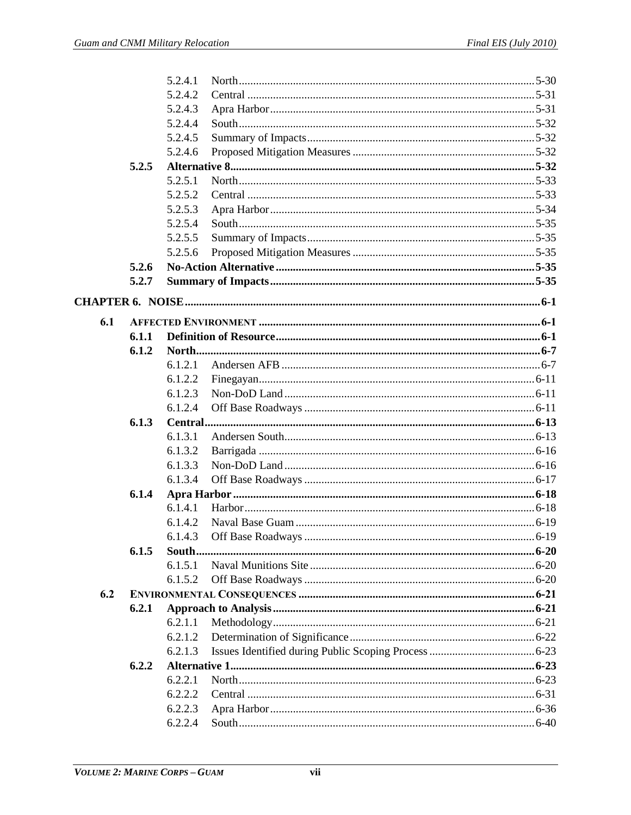|     |                | 5.2.4.1 |  |
|-----|----------------|---------|--|
|     |                | 5.2.4.2 |  |
|     |                | 5.2.4.3 |  |
|     |                | 5.2.4.4 |  |
|     |                | 5.2.4.5 |  |
|     |                | 5.2.4.6 |  |
|     | 5.2.5          |         |  |
|     |                | 5.2.5.1 |  |
|     |                | 5.2.5.2 |  |
|     |                | 5.2.5.3 |  |
|     |                | 5.2.5.4 |  |
|     |                | 5.2.5.5 |  |
|     |                | 5.2.5.6 |  |
|     | 5.2.6          |         |  |
|     | 5.2.7          |         |  |
|     |                |         |  |
|     |                |         |  |
| 6.1 |                |         |  |
|     | 6.1.1<br>6.1.2 |         |  |
|     |                | 6.1.2.1 |  |
|     |                | 6.1.2.2 |  |
|     |                | 6.1.2.3 |  |
|     |                | 6.1.2.4 |  |
|     | 6.1.3          |         |  |
|     |                | 6.1.3.1 |  |
|     |                | 6.1.3.2 |  |
|     |                | 6.1.3.3 |  |
|     |                | 6.1.3.4 |  |
|     | 6.1.4          |         |  |
|     |                | 6.1.4.1 |  |
|     |                | 6.1.4.2 |  |
|     |                | 6.1.4.3 |  |
|     | 6.1.5          |         |  |
|     |                | 6.1.5.1 |  |
|     |                | 6.1.5.2 |  |
| 6.2 |                |         |  |
|     | 6.2.1          |         |  |
|     |                | 6.2.1.1 |  |
|     |                | 6.2.1.2 |  |
|     |                | 6.2.1.3 |  |
|     | 6.2.2          |         |  |
|     |                | 6.2.2.1 |  |
|     |                | 6.2.2.2 |  |
|     |                | 6.2.2.3 |  |
|     |                | 6.2.2.4 |  |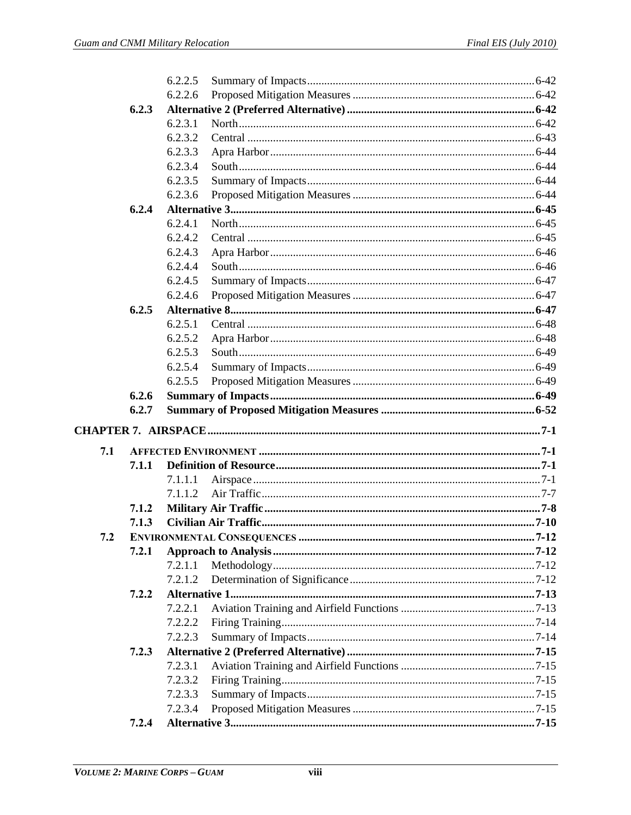|     |                | 6.2.2.5 |  |
|-----|----------------|---------|--|
|     |                | 6.2.2.6 |  |
|     | 6.2.3          |         |  |
|     |                | 6.2.3.1 |  |
|     |                | 6.2.3.2 |  |
|     |                | 6.2.3.3 |  |
|     |                | 6.2.3.4 |  |
|     |                | 6.2.3.5 |  |
|     |                | 6.2.3.6 |  |
|     | 6.2.4          |         |  |
|     |                | 6.2.4.1 |  |
|     |                | 6.2.4.2 |  |
|     |                | 6.2.4.3 |  |
|     |                | 6.2.4.4 |  |
|     |                | 6.2.4.5 |  |
|     |                | 6.2.4.6 |  |
|     | 6.2.5          |         |  |
|     |                | 6.2.5.1 |  |
|     |                | 6.2.5.2 |  |
|     |                | 6.2.5.3 |  |
|     |                | 6.2.5.4 |  |
|     |                | 6.2.5.5 |  |
|     | 6.2.6          |         |  |
|     |                |         |  |
|     | 6.2.7          |         |  |
|     |                |         |  |
|     |                |         |  |
| 7.1 | 7.1.1          |         |  |
|     |                | 7.1.1.1 |  |
|     |                | 7.1.1.2 |  |
|     |                |         |  |
|     | 7.1.2<br>7.1.3 |         |  |
| 7.2 |                |         |  |
|     | 7.2.1          |         |  |
|     |                | 7.2.1.1 |  |
|     |                | 7.2.1.2 |  |
|     | 7.2.2          |         |  |
|     |                | 7.2.2.1 |  |
|     |                | 7.2.2.2 |  |
|     |                | 7.2.2.3 |  |
|     | 7.2.3          |         |  |
|     |                | 7.2.3.1 |  |
|     |                | 7.2.3.2 |  |
|     |                | 7.2.3.3 |  |
|     |                | 7.2.3.4 |  |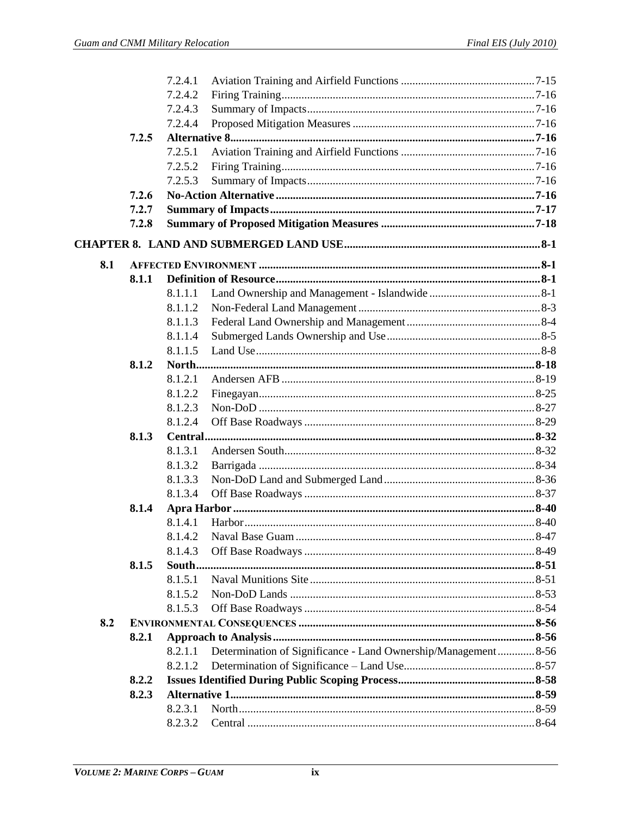|     |       | 7.2.4.1 |                                                               |  |
|-----|-------|---------|---------------------------------------------------------------|--|
|     |       | 7.2.4.2 |                                                               |  |
|     |       | 7.2.4.3 |                                                               |  |
|     |       | 7.2.4.4 |                                                               |  |
|     | 7.2.5 |         |                                                               |  |
|     |       | 7.2.5.1 |                                                               |  |
|     |       | 7.2.5.2 |                                                               |  |
|     |       | 7.2.5.3 |                                                               |  |
|     | 7.2.6 |         |                                                               |  |
|     | 7.2.7 |         |                                                               |  |
|     | 7.2.8 |         |                                                               |  |
|     |       |         |                                                               |  |
| 8.1 |       |         |                                                               |  |
|     | 8.1.1 |         |                                                               |  |
|     |       | 8.1.1.1 |                                                               |  |
|     |       | 8.1.1.2 |                                                               |  |
|     |       | 8.1.1.3 |                                                               |  |
|     |       | 8.1.1.4 |                                                               |  |
|     |       | 8.1.1.5 |                                                               |  |
|     | 8.1.2 |         |                                                               |  |
|     |       | 8.1.2.1 |                                                               |  |
|     |       | 8.1.2.2 |                                                               |  |
|     |       | 8.1.2.3 |                                                               |  |
|     |       | 8.1.2.4 |                                                               |  |
|     | 8.1.3 |         |                                                               |  |
|     |       | 8.1.3.1 |                                                               |  |
|     |       | 8.1.3.2 |                                                               |  |
|     |       | 8.1.3.3 |                                                               |  |
|     |       | 8.1.3.4 |                                                               |  |
|     | 8.1.4 |         |                                                               |  |
|     |       | 8.1.4.1 |                                                               |  |
|     |       |         |                                                               |  |
|     |       | 8.1.4.3 |                                                               |  |
|     | 8.1.5 |         |                                                               |  |
|     |       | 8.1.5.1 |                                                               |  |
|     |       | 8.1.5.2 |                                                               |  |
|     |       | 8.1.5.3 |                                                               |  |
| 8.2 |       |         |                                                               |  |
|     | 8.2.1 |         |                                                               |  |
|     |       | 8.2.1.1 | Determination of Significance - Land Ownership/Management8-56 |  |
|     |       | 8.2.1.2 |                                                               |  |
|     | 8.2.2 |         |                                                               |  |
|     | 8.2.3 |         |                                                               |  |
|     |       | 8.2.3.1 |                                                               |  |
|     |       | 8.2.3.2 |                                                               |  |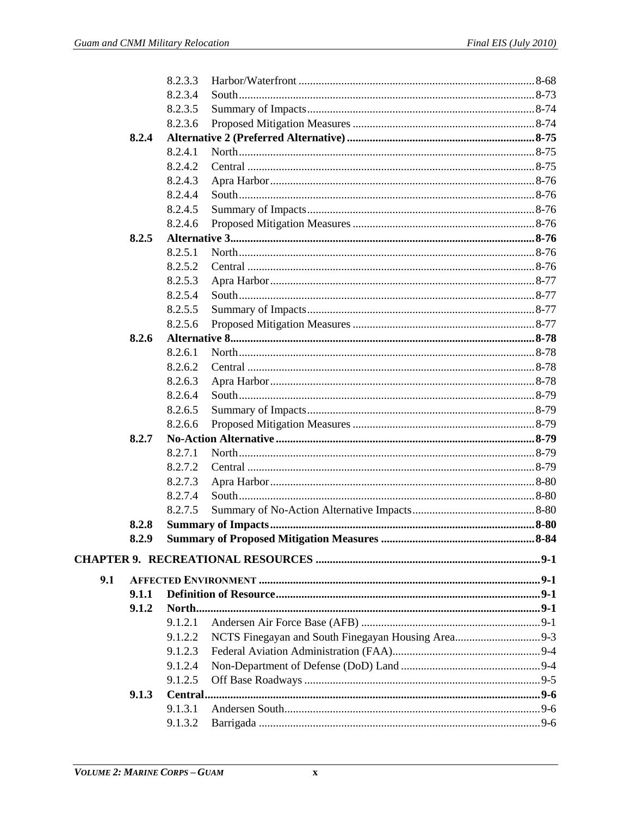|     |       | 8.2.3.3 |  |
|-----|-------|---------|--|
|     |       | 8.2.3.4 |  |
|     |       | 8.2.3.5 |  |
|     |       | 8.2.3.6 |  |
|     | 8.2.4 |         |  |
|     |       | 8.2.4.1 |  |
|     |       | 8.2.4.2 |  |
|     |       | 8.2.4.3 |  |
|     |       | 8.2.4.4 |  |
|     |       | 8.2.4.5 |  |
|     |       | 8.2.4.6 |  |
|     | 8.2.5 |         |  |
|     |       | 8.2.5.1 |  |
|     |       | 8.2.5.2 |  |
|     |       | 8.2.5.3 |  |
|     |       | 8.2.5.4 |  |
|     |       | 8.2.5.5 |  |
|     |       | 8.2.5.6 |  |
|     | 8.2.6 |         |  |
|     |       | 8.2.6.1 |  |
|     |       | 8.2.6.2 |  |
|     |       | 8.2.6.3 |  |
|     |       | 8.2.6.4 |  |
|     |       | 8.2.6.5 |  |
|     |       | 8.2.6.6 |  |
|     | 8.2.7 |         |  |
|     |       | 8.2.7.1 |  |
|     |       | 8.2.7.2 |  |
|     |       | 8.2.7.3 |  |
|     |       | 8.2.7.4 |  |
|     |       | 8.2.7.5 |  |
|     | 8.2.8 |         |  |
|     | 8.2.9 |         |  |
|     |       |         |  |
| 9.1 |       |         |  |
|     | 9.1.1 |         |  |
|     | 9.1.2 |         |  |
|     |       | 9.1.2.1 |  |
|     |       | 9.1.2.2 |  |
|     |       | 9.1.2.3 |  |
|     |       | 9.1.2.4 |  |
|     |       | 9.1.2.5 |  |
|     | 9.1.3 |         |  |
|     |       | 9.1.3.1 |  |
|     |       | 9.1.3.2 |  |
|     |       |         |  |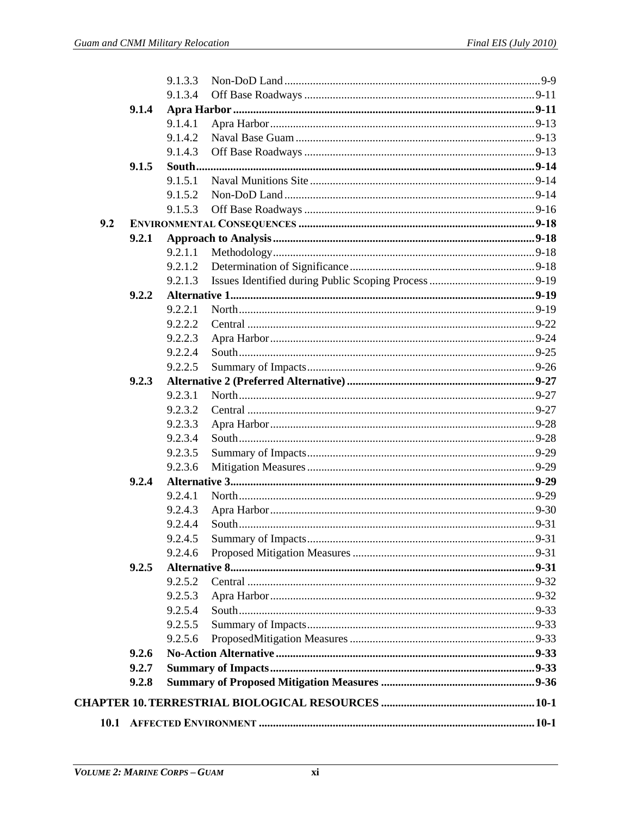| <b>10.1</b> |       |                    |  |
|-------------|-------|--------------------|--|
|             |       |                    |  |
|             | 9.2.8 |                    |  |
|             | 9.2.7 |                    |  |
|             | 9.2.6 |                    |  |
|             |       | 9.2.5.6            |  |
|             |       | 9.2.5.5            |  |
|             |       | 9.2.5.4            |  |
|             |       | 9.2.5.3            |  |
|             |       | 9.2.5.2            |  |
|             | 9.2.5 |                    |  |
|             |       | 9.2.4.6            |  |
|             |       | 9.2.4.5            |  |
|             |       | 9.2.4.4            |  |
|             |       | 9.2.4.3            |  |
|             |       | 9.2.4.1            |  |
|             | 9.2.4 |                    |  |
|             |       | 9.2.3.6            |  |
|             |       | 9.2.3.5            |  |
|             |       | 9.2.3.4            |  |
|             |       | 9.2.3.3            |  |
|             |       | 9.2.3.2            |  |
|             |       | 9.2.3.1            |  |
|             | 9.2.3 |                    |  |
|             |       | 9.2.2.5            |  |
|             |       | 9.2.2.3<br>9.2.2.4 |  |
|             |       | 9.2.2.2            |  |
|             |       | 9.2.2.1            |  |
|             | 9.2.2 |                    |  |
|             |       | 9.2.1.3            |  |
|             |       | 9.2.1.2            |  |
|             |       | 9.2.1.1            |  |
|             | 9.2.1 |                    |  |
| 9.2         |       |                    |  |
|             |       | 9.1.5.3            |  |
|             |       | 9.1.5.2            |  |
|             |       | 9.1.5.1            |  |
|             | 9.1.5 |                    |  |
|             |       | 9.1.4.3            |  |
|             |       | 9.1.4.2            |  |
|             |       | 9.1.4.1            |  |
|             | 9.1.4 |                    |  |
|             |       | 9.1.3.4            |  |
|             |       | 9.1.3.3            |  |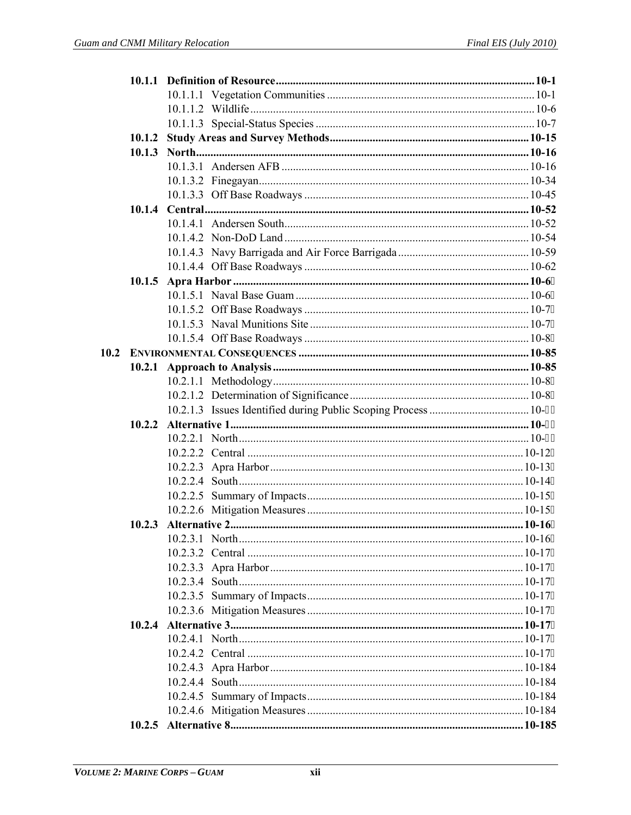| 10.1.2 |  |  |
|--------|--|--|
|        |  |  |
|        |  |  |
|        |  |  |
|        |  |  |
|        |  |  |
|        |  |  |
|        |  |  |
|        |  |  |
|        |  |  |
| 10.1.5 |  |  |
|        |  |  |
|        |  |  |
|        |  |  |
|        |  |  |
|        |  |  |
| 10.2.1 |  |  |
|        |  |  |
|        |  |  |
|        |  |  |
| 10.2.2 |  |  |
|        |  |  |
|        |  |  |
|        |  |  |
|        |  |  |
|        |  |  |
|        |  |  |
|        |  |  |
|        |  |  |
|        |  |  |
|        |  |  |
|        |  |  |
|        |  |  |
|        |  |  |
|        |  |  |
|        |  |  |
|        |  |  |
|        |  |  |
|        |  |  |
|        |  |  |
|        |  |  |
|        |  |  |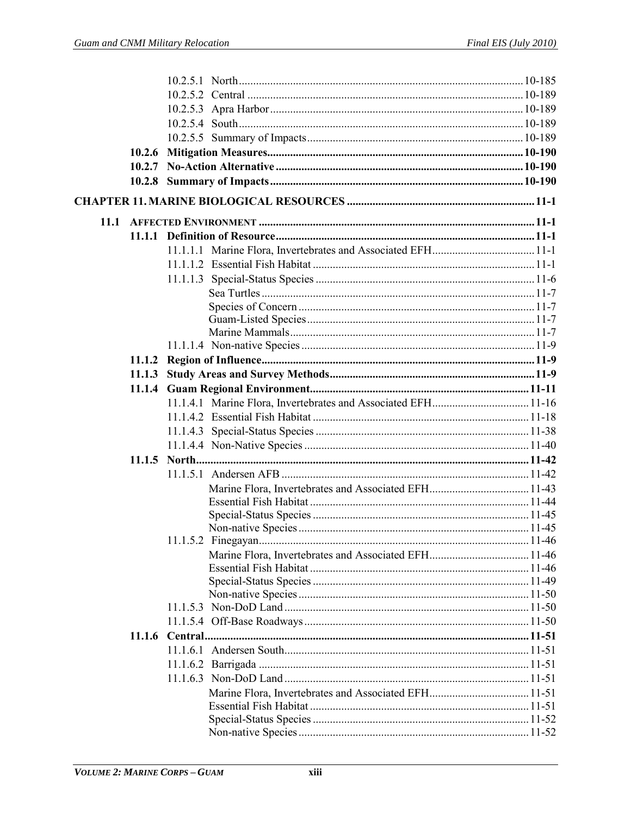| 10.2.6 |  |
|--------|--|
|        |  |
|        |  |
|        |  |
|        |  |
|        |  |
|        |  |
|        |  |
|        |  |
|        |  |
|        |  |
|        |  |
|        |  |
|        |  |
| 11.1.2 |  |
| 11.1.3 |  |
|        |  |
|        |  |
|        |  |
|        |  |
|        |  |
|        |  |
|        |  |
|        |  |
|        |  |
|        |  |
|        |  |
|        |  |
|        |  |
|        |  |
|        |  |
|        |  |
|        |  |
|        |  |
|        |  |
|        |  |
|        |  |
|        |  |
|        |  |
|        |  |
|        |  |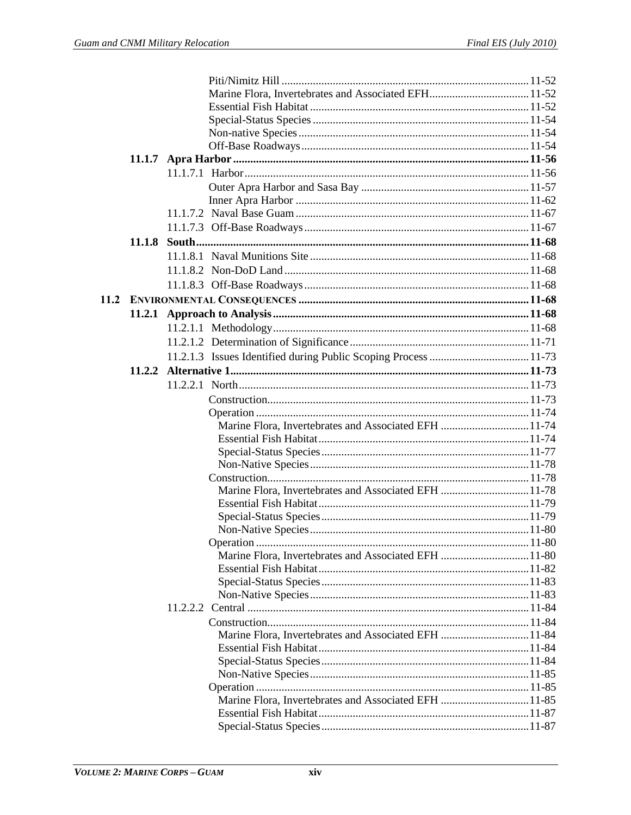|  | Marine Flora, Invertebrates and Associated EFH 11-74 |
|--|------------------------------------------------------|
|  |                                                      |
|  |                                                      |
|  |                                                      |
|  |                                                      |
|  | Marine Flora, Invertebrates and Associated EFH 11-78 |
|  |                                                      |
|  |                                                      |
|  |                                                      |
|  |                                                      |
|  | Marine Flora, Invertebrates and Associated EFH 11-80 |
|  |                                                      |
|  |                                                      |
|  |                                                      |
|  |                                                      |
|  |                                                      |
|  | Marine Flora, Invertebrates and Associated EFH 11-84 |
|  |                                                      |
|  |                                                      |
|  |                                                      |
|  |                                                      |
|  | Marine Flora, Invertebrates and Associated EFH 11-85 |
|  |                                                      |
|  |                                                      |
|  |                                                      |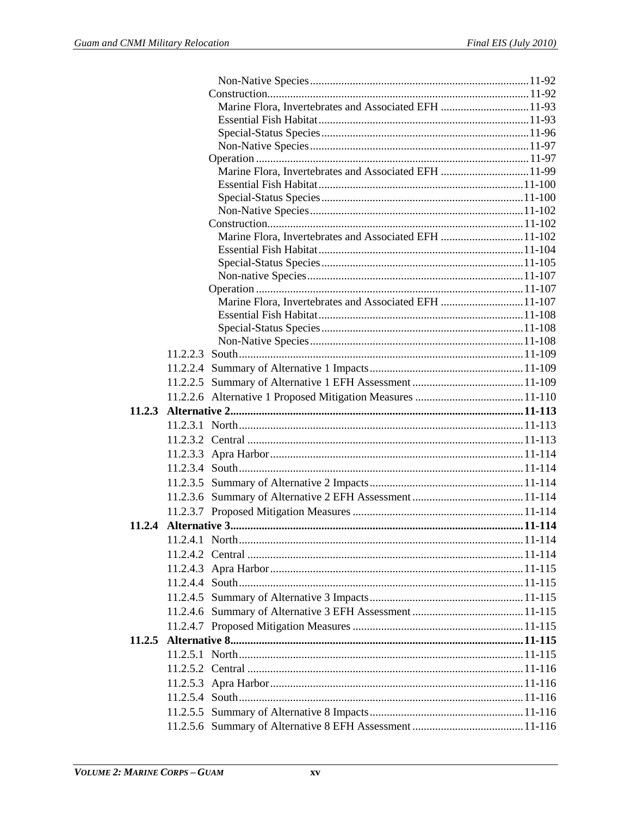|        | Marine Flora, Invertebrates and Associated EFH 11-93  |  |
|--------|-------------------------------------------------------|--|
|        |                                                       |  |
|        |                                                       |  |
|        |                                                       |  |
|        |                                                       |  |
|        | Marine Flora, Invertebrates and Associated EFH 11-99  |  |
|        |                                                       |  |
|        |                                                       |  |
|        |                                                       |  |
|        |                                                       |  |
|        | Marine Flora, Invertebrates and Associated EFH 11-102 |  |
|        |                                                       |  |
|        |                                                       |  |
|        |                                                       |  |
|        |                                                       |  |
|        | Marine Flora, Invertebrates and Associated EFH 11-107 |  |
|        |                                                       |  |
|        |                                                       |  |
|        |                                                       |  |
|        |                                                       |  |
|        |                                                       |  |
|        |                                                       |  |
|        |                                                       |  |
|        |                                                       |  |
|        |                                                       |  |
|        |                                                       |  |
|        |                                                       |  |
|        |                                                       |  |
|        |                                                       |  |
|        |                                                       |  |
|        |                                                       |  |
|        |                                                       |  |
|        |                                                       |  |
|        |                                                       |  |
|        |                                                       |  |
|        |                                                       |  |
|        |                                                       |  |
|        |                                                       |  |
|        |                                                       |  |
|        |                                                       |  |
| 11.2.5 |                                                       |  |
|        |                                                       |  |
|        |                                                       |  |
|        |                                                       |  |
|        |                                                       |  |
|        |                                                       |  |
|        |                                                       |  |
|        |                                                       |  |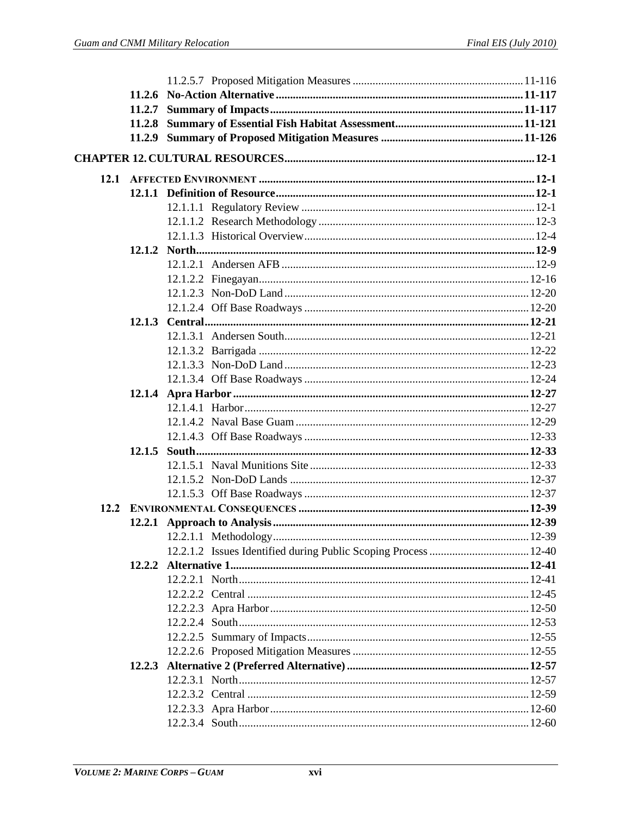| 12.1 |  |  |
|------|--|--|
|      |  |  |
|      |  |  |
|      |  |  |
|      |  |  |
|      |  |  |
|      |  |  |
|      |  |  |
|      |  |  |
|      |  |  |
|      |  |  |
|      |  |  |
|      |  |  |
|      |  |  |
|      |  |  |
|      |  |  |
|      |  |  |
|      |  |  |
|      |  |  |
|      |  |  |
|      |  |  |
|      |  |  |
|      |  |  |
|      |  |  |
|      |  |  |
|      |  |  |
|      |  |  |
|      |  |  |
|      |  |  |
|      |  |  |
|      |  |  |
|      |  |  |
|      |  |  |
|      |  |  |
|      |  |  |
|      |  |  |
|      |  |  |
|      |  |  |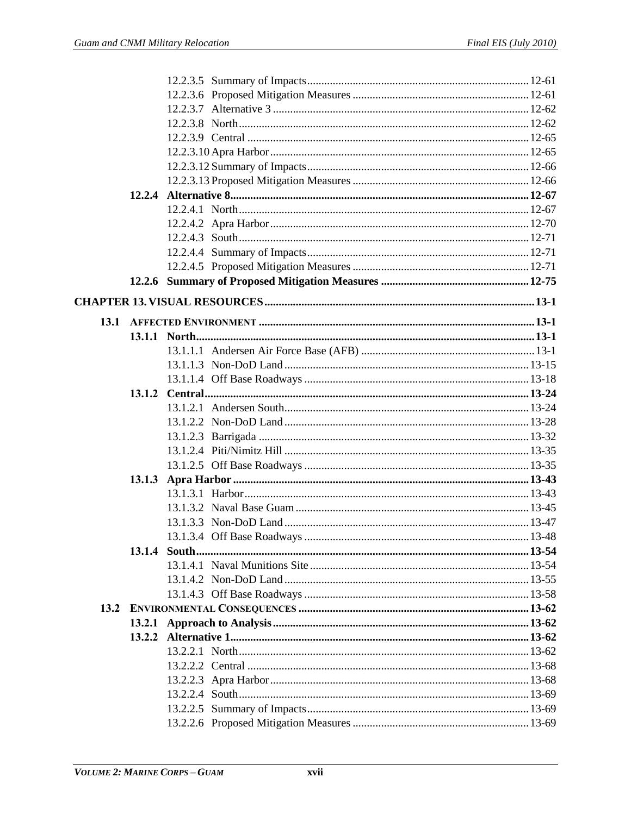|      | 12.2.4 |  |
|------|--------|--|
|      |        |  |
|      |        |  |
|      |        |  |
|      |        |  |
|      |        |  |
|      |        |  |
|      |        |  |
|      |        |  |
| 13.1 |        |  |
|      |        |  |
|      |        |  |
|      |        |  |
|      |        |  |
|      |        |  |
|      |        |  |
|      |        |  |
|      |        |  |
|      |        |  |
|      |        |  |
|      |        |  |
|      |        |  |
|      |        |  |
|      |        |  |
|      |        |  |
|      | 13.1.4 |  |
|      |        |  |
|      |        |  |
| 13.2 |        |  |
|      |        |  |
|      |        |  |
|      |        |  |
|      |        |  |
|      |        |  |
|      |        |  |
|      |        |  |
|      |        |  |
|      |        |  |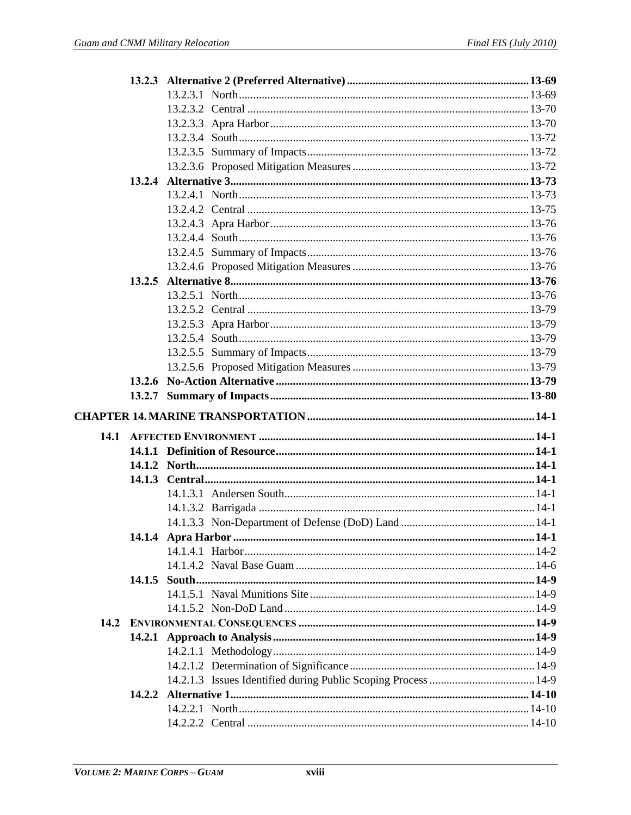|      | 13.2.4 |  |
|------|--------|--|
|      |        |  |
|      |        |  |
|      |        |  |
|      |        |  |
|      |        |  |
|      |        |  |
|      |        |  |
|      |        |  |
|      |        |  |
|      |        |  |
|      |        |  |
|      |        |  |
|      |        |  |
|      |        |  |
|      |        |  |
|      |        |  |
|      |        |  |
|      |        |  |
| 14.1 |        |  |
|      |        |  |
|      |        |  |
|      |        |  |
|      |        |  |
|      |        |  |
|      |        |  |
|      |        |  |
|      |        |  |
|      |        |  |
|      |        |  |
|      |        |  |
| 14.2 |        |  |
|      |        |  |
|      |        |  |
|      |        |  |
|      |        |  |
|      |        |  |
|      |        |  |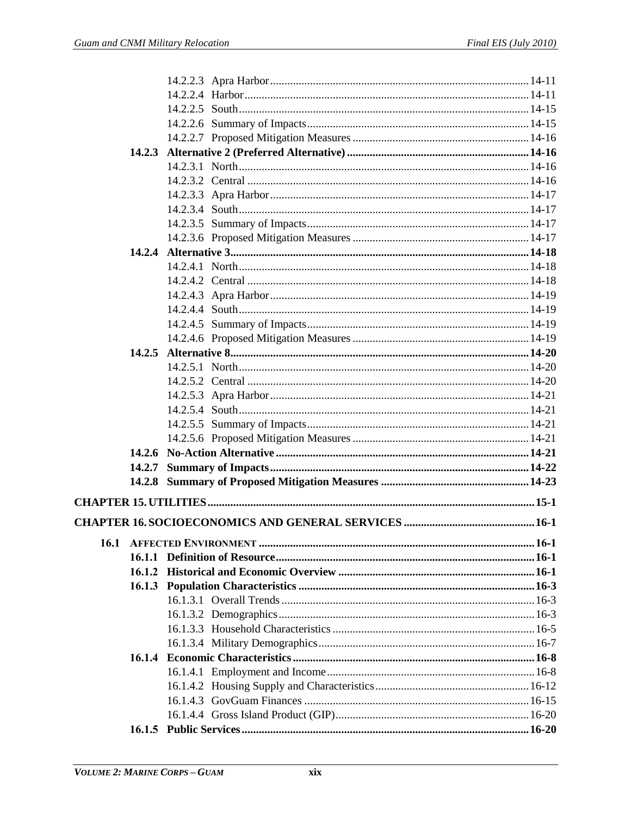|      | 14.2.5 |  |
|------|--------|--|
|      |        |  |
|      |        |  |
|      |        |  |
|      |        |  |
|      |        |  |
|      |        |  |
|      |        |  |
|      |        |  |
|      |        |  |
|      |        |  |
|      |        |  |
|      |        |  |
| 16.1 |        |  |
|      |        |  |
|      |        |  |
|      |        |  |
|      |        |  |
|      |        |  |
|      |        |  |
|      |        |  |
|      |        |  |
|      |        |  |
|      |        |  |
|      |        |  |
|      |        |  |
|      |        |  |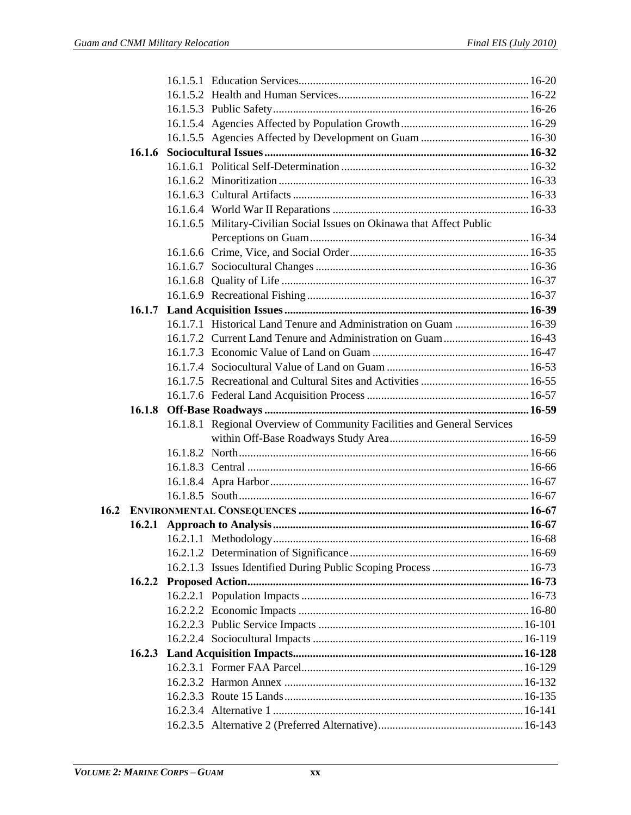|      |        | 16.1.6.5 Military-Civilian Social Issues on Okinawa that Affect Public  |  |
|------|--------|-------------------------------------------------------------------------|--|
|      |        |                                                                         |  |
|      |        |                                                                         |  |
|      |        |                                                                         |  |
|      |        |                                                                         |  |
|      |        |                                                                         |  |
|      |        |                                                                         |  |
|      |        | 16.1.7.1 Historical Land Tenure and Administration on Guam  16-39       |  |
|      |        | 16.1.7.2 Current Land Tenure and Administration on Guam 16-43           |  |
|      |        |                                                                         |  |
|      |        |                                                                         |  |
|      |        |                                                                         |  |
|      |        |                                                                         |  |
|      |        |                                                                         |  |
|      | 16.1.8 |                                                                         |  |
|      |        | 16.1.8.1 Regional Overview of Community Facilities and General Services |  |
|      |        |                                                                         |  |
|      |        |                                                                         |  |
|      |        |                                                                         |  |
|      |        |                                                                         |  |
|      |        |                                                                         |  |
| 16.2 |        |                                                                         |  |
|      |        |                                                                         |  |
|      |        |                                                                         |  |
|      |        |                                                                         |  |
|      |        |                                                                         |  |
|      |        |                                                                         |  |
|      |        |                                                                         |  |
|      |        |                                                                         |  |
|      |        |                                                                         |  |
|      |        |                                                                         |  |
|      | 16.2.3 |                                                                         |  |
|      |        |                                                                         |  |
|      |        |                                                                         |  |
|      |        |                                                                         |  |
|      |        |                                                                         |  |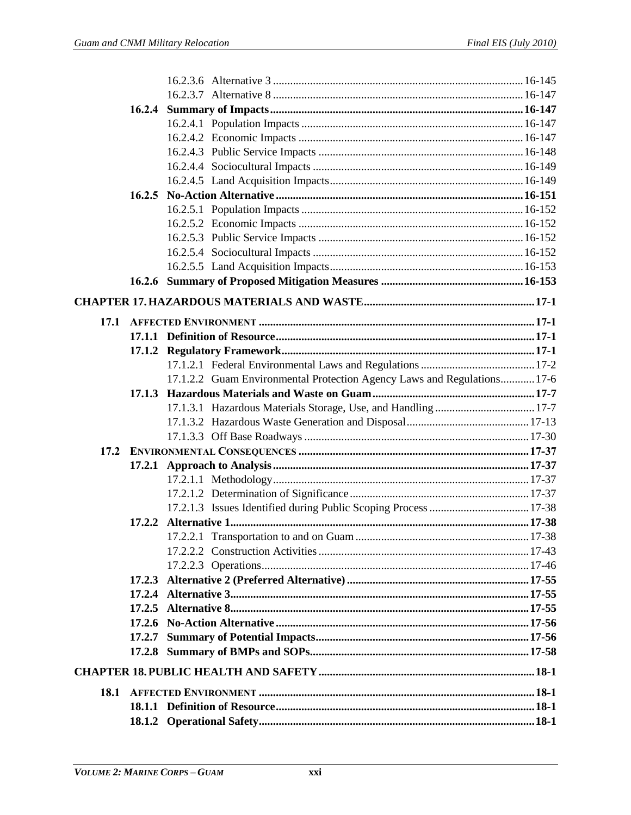|      | 16.2.4 |                                                                         |  |
|------|--------|-------------------------------------------------------------------------|--|
|      |        |                                                                         |  |
|      |        |                                                                         |  |
|      |        |                                                                         |  |
|      |        |                                                                         |  |
|      |        |                                                                         |  |
|      |        |                                                                         |  |
|      |        |                                                                         |  |
|      |        |                                                                         |  |
|      |        |                                                                         |  |
|      |        |                                                                         |  |
|      |        |                                                                         |  |
|      |        |                                                                         |  |
|      |        |                                                                         |  |
| 17.1 |        |                                                                         |  |
|      |        |                                                                         |  |
|      |        |                                                                         |  |
|      |        |                                                                         |  |
|      |        | 17.1.2.2 Guam Environmental Protection Agency Laws and Regulations 17-6 |  |
|      |        |                                                                         |  |
|      |        |                                                                         |  |
|      |        |                                                                         |  |
|      |        |                                                                         |  |
|      |        |                                                                         |  |
|      | 17.2.1 |                                                                         |  |
|      |        |                                                                         |  |
|      |        |                                                                         |  |
|      |        |                                                                         |  |
|      |        |                                                                         |  |
|      |        |                                                                         |  |
|      |        |                                                                         |  |
|      |        |                                                                         |  |
|      |        |                                                                         |  |
|      |        |                                                                         |  |
|      |        |                                                                         |  |
|      |        |                                                                         |  |
|      |        |                                                                         |  |
|      |        |                                                                         |  |
|      |        |                                                                         |  |
| 18.1 |        |                                                                         |  |
|      |        |                                                                         |  |
|      |        |                                                                         |  |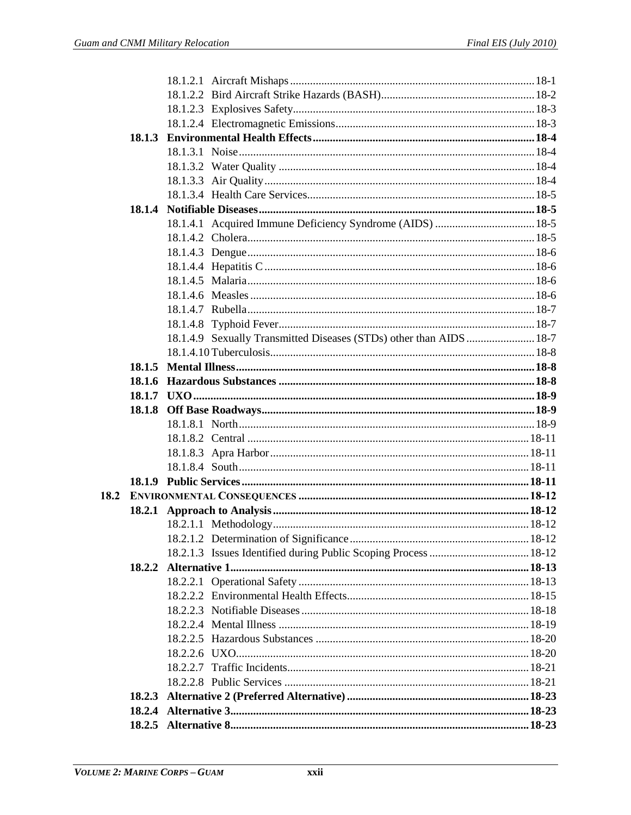|  | 18.1.4.9 Sexually Transmitted Diseases (STDs) other than AIDS  18-7 |  |
|--|---------------------------------------------------------------------|--|
|  |                                                                     |  |
|  |                                                                     |  |
|  |                                                                     |  |
|  |                                                                     |  |
|  |                                                                     |  |
|  |                                                                     |  |
|  |                                                                     |  |
|  |                                                                     |  |
|  |                                                                     |  |
|  |                                                                     |  |
|  |                                                                     |  |
|  |                                                                     |  |
|  |                                                                     |  |
|  |                                                                     |  |
|  |                                                                     |  |
|  |                                                                     |  |
|  |                                                                     |  |
|  |                                                                     |  |
|  |                                                                     |  |
|  |                                                                     |  |
|  |                                                                     |  |
|  |                                                                     |  |
|  |                                                                     |  |
|  |                                                                     |  |
|  |                                                                     |  |
|  |                                                                     |  |
|  |                                                                     |  |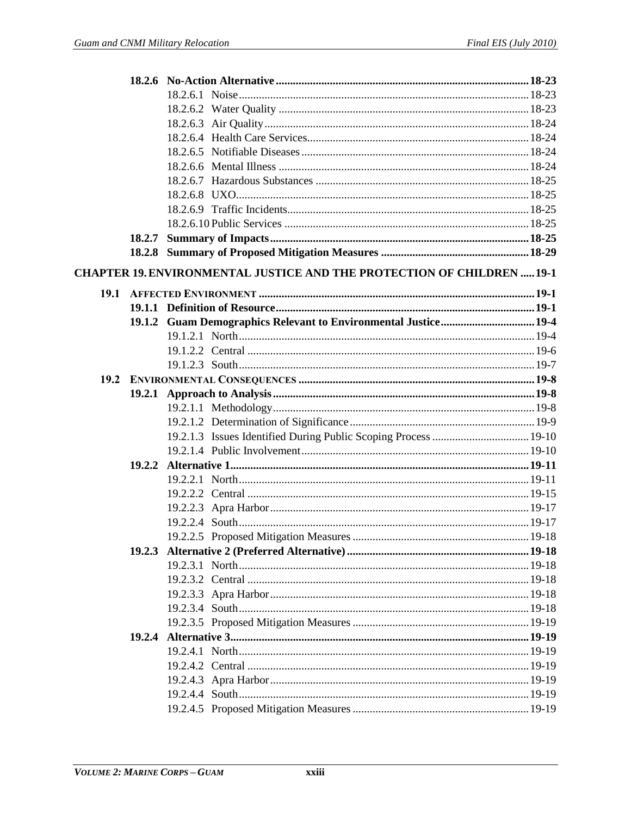|      | 18.2.7 |                                                                               |  |
|------|--------|-------------------------------------------------------------------------------|--|
|      |        |                                                                               |  |
|      |        | <b>CHAPTER 19. ENVIRONMENTAL JUSTICE AND THE PROTECTION OF CHILDREN  19-1</b> |  |
| 19.1 |        |                                                                               |  |
|      |        |                                                                               |  |
|      |        |                                                                               |  |
|      |        |                                                                               |  |
|      |        |                                                                               |  |
|      |        |                                                                               |  |
|      |        |                                                                               |  |
|      |        |                                                                               |  |
|      |        |                                                                               |  |
|      |        |                                                                               |  |
|      |        |                                                                               |  |
|      |        |                                                                               |  |
|      | 19.2.2 |                                                                               |  |
|      |        |                                                                               |  |
|      |        |                                                                               |  |
|      |        |                                                                               |  |
|      |        |                                                                               |  |
|      |        |                                                                               |  |
|      |        |                                                                               |  |
|      |        |                                                                               |  |
|      |        |                                                                               |  |
|      |        |                                                                               |  |
|      |        |                                                                               |  |
|      |        |                                                                               |  |
|      |        |                                                                               |  |
|      |        |                                                                               |  |
|      |        |                                                                               |  |
|      |        |                                                                               |  |
|      |        |                                                                               |  |
|      |        |                                                                               |  |
|      |        |                                                                               |  |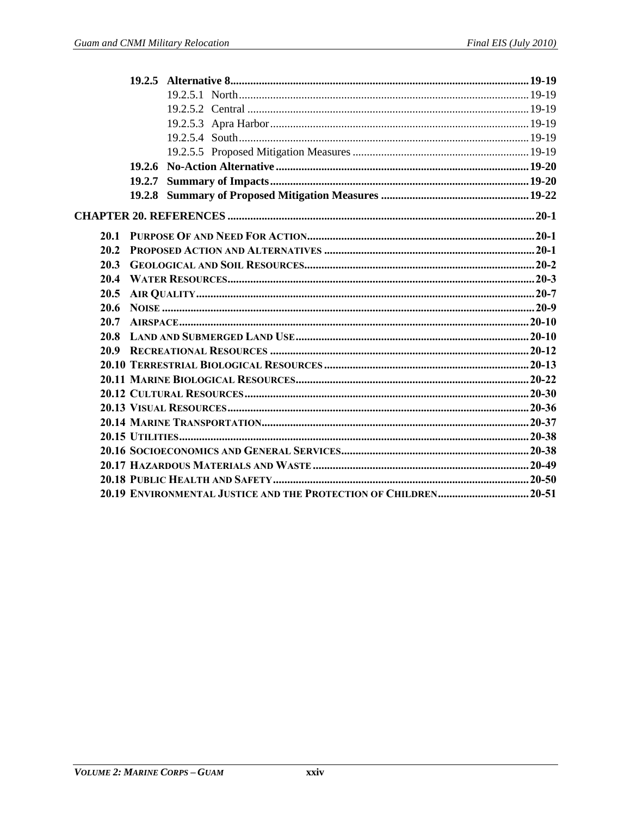|      | 19.2.7 |  |
|------|--------|--|
|      |        |  |
|      |        |  |
| 20.1 |        |  |
| 20.2 |        |  |
| 20.3 |        |  |
| 20.4 |        |  |
| 20.5 |        |  |
| 20.6 |        |  |
| 20.7 |        |  |
| 20.8 |        |  |
|      |        |  |
|      |        |  |
|      |        |  |
|      |        |  |
|      |        |  |
|      |        |  |
|      |        |  |
|      |        |  |
|      |        |  |
|      |        |  |
|      |        |  |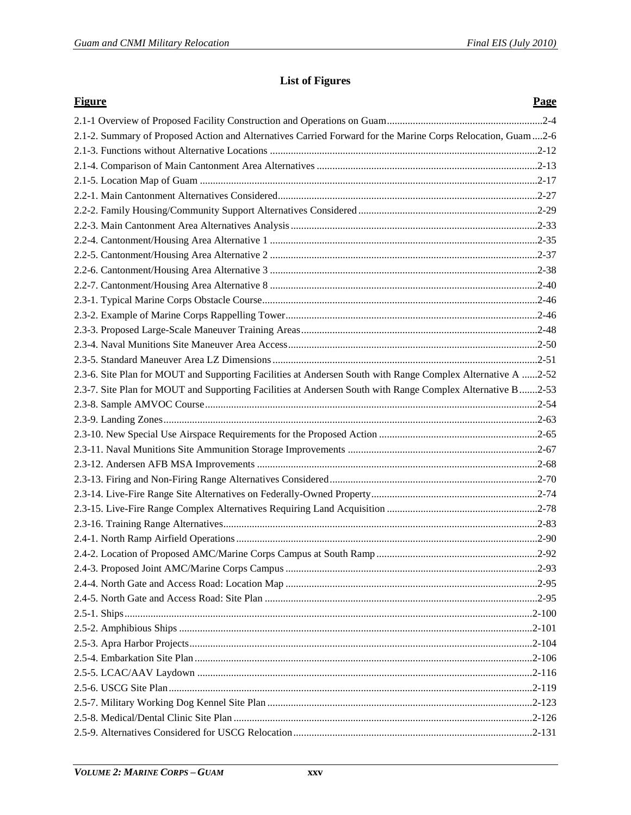## **List of Figures**

| <b>Figure</b>                                                                                               | <b>Page</b> |
|-------------------------------------------------------------------------------------------------------------|-------------|
|                                                                                                             |             |
| 2.1-2. Summary of Proposed Action and Alternatives Carried Forward for the Marine Corps Relocation, Guam2-6 |             |
|                                                                                                             |             |
|                                                                                                             |             |
|                                                                                                             |             |
|                                                                                                             |             |
|                                                                                                             |             |
|                                                                                                             |             |
|                                                                                                             |             |
|                                                                                                             |             |
|                                                                                                             |             |
|                                                                                                             |             |
|                                                                                                             |             |
|                                                                                                             |             |
|                                                                                                             |             |
|                                                                                                             |             |
|                                                                                                             |             |
| 2.3-6. Site Plan for MOUT and Supporting Facilities at Andersen South with Range Complex Alternative A 2-52 |             |
| 2.3-7. Site Plan for MOUT and Supporting Facilities at Andersen South with Range Complex Alternative B2-53  |             |
|                                                                                                             |             |
|                                                                                                             |             |
|                                                                                                             |             |
|                                                                                                             |             |
|                                                                                                             |             |
|                                                                                                             |             |
|                                                                                                             |             |
|                                                                                                             |             |
|                                                                                                             |             |
|                                                                                                             |             |
|                                                                                                             |             |
|                                                                                                             |             |
|                                                                                                             |             |
|                                                                                                             |             |
|                                                                                                             |             |
|                                                                                                             |             |
|                                                                                                             |             |
|                                                                                                             |             |
|                                                                                                             |             |
|                                                                                                             |             |
|                                                                                                             |             |
|                                                                                                             |             |
|                                                                                                             |             |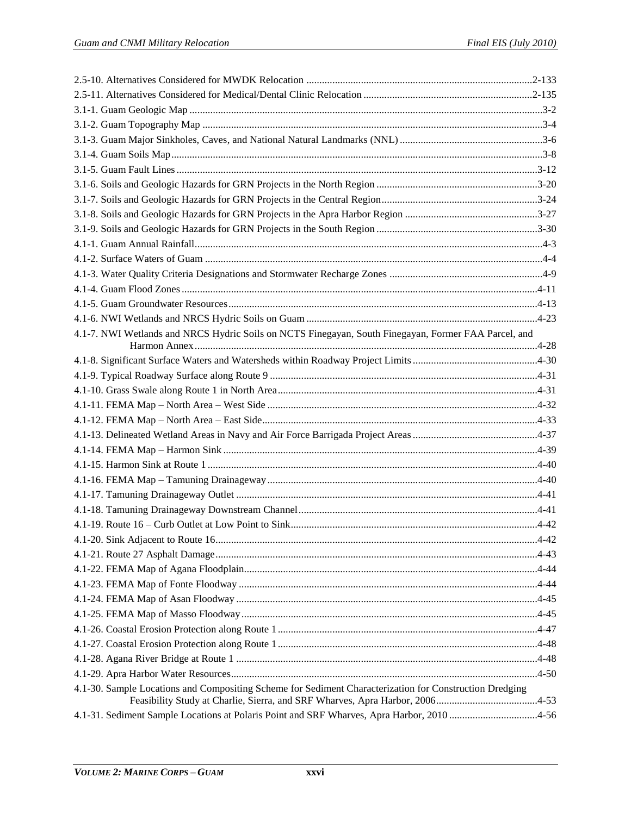| 4.1-7. NWI Wetlands and NRCS Hydric Soils on NCTS Finegayan, South Finegayan, Former FAA Parcel, and                                                                                    |  |
|-----------------------------------------------------------------------------------------------------------------------------------------------------------------------------------------|--|
|                                                                                                                                                                                         |  |
|                                                                                                                                                                                         |  |
|                                                                                                                                                                                         |  |
|                                                                                                                                                                                         |  |
|                                                                                                                                                                                         |  |
|                                                                                                                                                                                         |  |
|                                                                                                                                                                                         |  |
|                                                                                                                                                                                         |  |
|                                                                                                                                                                                         |  |
|                                                                                                                                                                                         |  |
|                                                                                                                                                                                         |  |
|                                                                                                                                                                                         |  |
|                                                                                                                                                                                         |  |
|                                                                                                                                                                                         |  |
|                                                                                                                                                                                         |  |
|                                                                                                                                                                                         |  |
|                                                                                                                                                                                         |  |
|                                                                                                                                                                                         |  |
|                                                                                                                                                                                         |  |
|                                                                                                                                                                                         |  |
|                                                                                                                                                                                         |  |
|                                                                                                                                                                                         |  |
| 4.1-30. Sample Locations and Compositing Scheme for Sediment Characterization for Construction Dredging<br>Feasibility Study at Charlie, Sierra, and SRF Wharves, Apra Harbor, 20064-53 |  |
| 4.1-31. Sediment Sample Locations at Polaris Point and SRF Wharves, Apra Harbor, 2010 4-56                                                                                              |  |
|                                                                                                                                                                                         |  |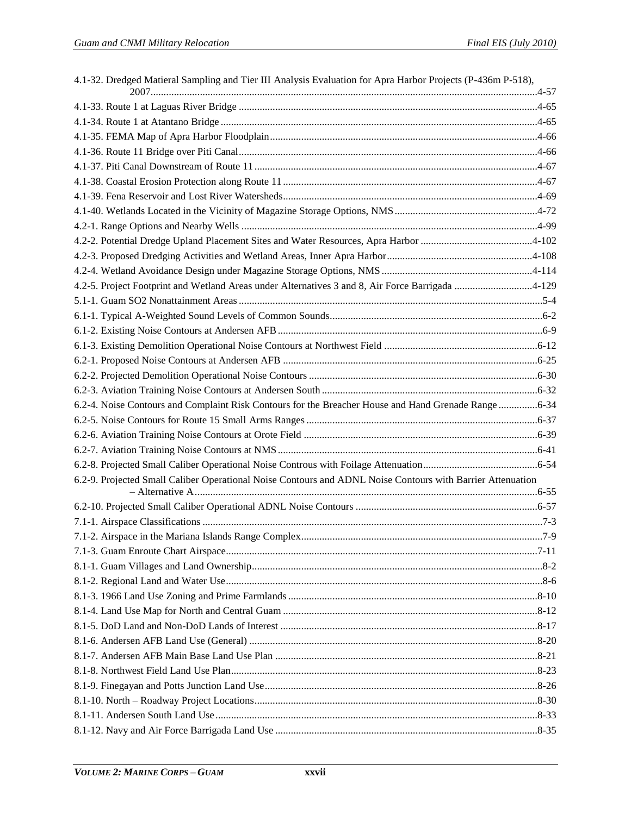| 4.1-32. Dredged Matieral Sampling and Tier III Analysis Evaluation for Apra Harbor Projects (P-436m P-518), |  |
|-------------------------------------------------------------------------------------------------------------|--|
|                                                                                                             |  |
|                                                                                                             |  |
|                                                                                                             |  |
|                                                                                                             |  |
|                                                                                                             |  |
|                                                                                                             |  |
|                                                                                                             |  |
|                                                                                                             |  |
|                                                                                                             |  |
|                                                                                                             |  |
|                                                                                                             |  |
|                                                                                                             |  |
| 4.2-5. Project Footprint and Wetland Areas under Alternatives 3 and 8, Air Force Barrigada 4-129            |  |
|                                                                                                             |  |
|                                                                                                             |  |
|                                                                                                             |  |
|                                                                                                             |  |
|                                                                                                             |  |
|                                                                                                             |  |
|                                                                                                             |  |
|                                                                                                             |  |
| 6.2-4. Noise Contours and Complaint Risk Contours for the Breacher House and Hand Grenade Range 6-34        |  |
|                                                                                                             |  |
|                                                                                                             |  |
|                                                                                                             |  |
| 6.2-9. Projected Small Caliber Operational Noise Contours and ADNL Noise Contours with Barrier Attenuation  |  |
|                                                                                                             |  |
|                                                                                                             |  |
|                                                                                                             |  |
|                                                                                                             |  |
|                                                                                                             |  |
|                                                                                                             |  |
|                                                                                                             |  |
|                                                                                                             |  |
|                                                                                                             |  |
|                                                                                                             |  |
|                                                                                                             |  |
|                                                                                                             |  |
|                                                                                                             |  |
|                                                                                                             |  |
|                                                                                                             |  |
|                                                                                                             |  |
|                                                                                                             |  |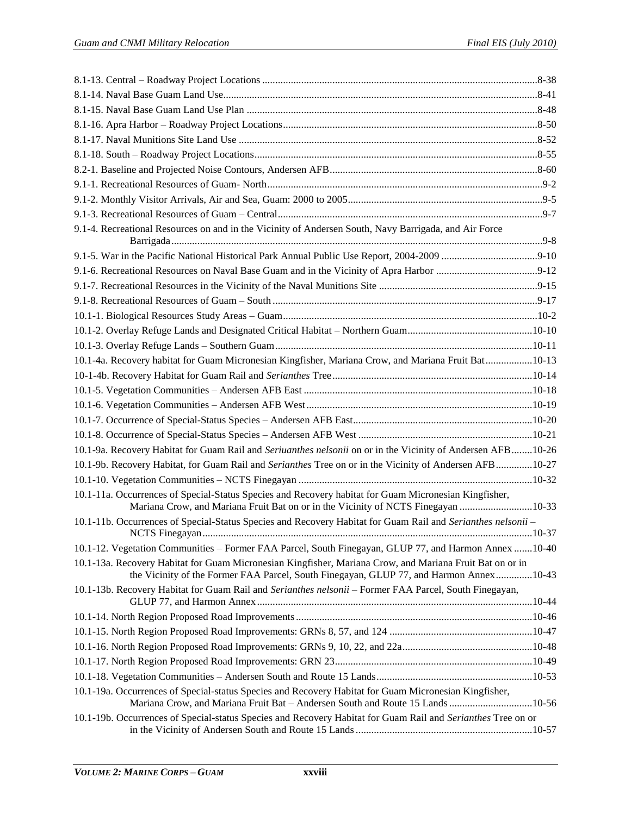| 9.1-4. Recreational Resources on and in the Vicinity of Andersen South, Navy Barrigada, and Air Force                                                                                              |  |
|----------------------------------------------------------------------------------------------------------------------------------------------------------------------------------------------------|--|
|                                                                                                                                                                                                    |  |
|                                                                                                                                                                                                    |  |
|                                                                                                                                                                                                    |  |
|                                                                                                                                                                                                    |  |
|                                                                                                                                                                                                    |  |
|                                                                                                                                                                                                    |  |
|                                                                                                                                                                                                    |  |
| 10.1-4a. Recovery habitat for Guam Micronesian Kingfisher, Mariana Crow, and Mariana Fruit Bat10-13                                                                                                |  |
|                                                                                                                                                                                                    |  |
|                                                                                                                                                                                                    |  |
|                                                                                                                                                                                                    |  |
|                                                                                                                                                                                                    |  |
|                                                                                                                                                                                                    |  |
| 10.1-9a. Recovery Habitat for Guam Rail and Seriuanthes nelsonii on or in the Vicinity of Andersen AFB10-26                                                                                        |  |
| 10.1-9b. Recovery Habitat, for Guam Rail and Serianthes Tree on or in the Vicinity of Andersen AFB 10-27                                                                                           |  |
|                                                                                                                                                                                                    |  |
| 10.1-11a. Occurrences of Special-Status Species and Recovery habitat for Guam Micronesian Kingfisher,<br>Mariana Crow, and Mariana Fruit Bat on or in the Vicinity of NCTS Finegayan 10-33         |  |
| 10.1-11b. Occurrences of Special-Status Species and Recovery Habitat for Guam Rail and Serianthes nelsonii -                                                                                       |  |
| 10.1-12. Vegetation Communities – Former FAA Parcel, South Finegayan, GLUP 77, and Harmon Annex 10-40                                                                                              |  |
| 10.1-13a. Recovery Habitat for Guam Micronesian Kingfisher, Mariana Crow, and Mariana Fruit Bat on or in<br>the Vicinity of the Former FAA Parcel, South Finegayan, GLUP 77, and Harmon Annex10-43 |  |
| 10.1-13b. Recovery Habitat for Guam Rail and Serianthes nelsonii - Former FAA Parcel, South Finegayan,                                                                                             |  |
|                                                                                                                                                                                                    |  |
|                                                                                                                                                                                                    |  |
|                                                                                                                                                                                                    |  |
|                                                                                                                                                                                                    |  |
|                                                                                                                                                                                                    |  |
| 10.1-19a. Occurrences of Special-status Species and Recovery Habitat for Guam Micronesian Kingfisher,<br>Mariana Crow, and Mariana Fruit Bat - Andersen South and Route 15 Lands 10-56             |  |
| 10.1-19b. Occurrences of Special-status Species and Recovery Habitat for Guam Rail and Serianthes Tree on or                                                                                       |  |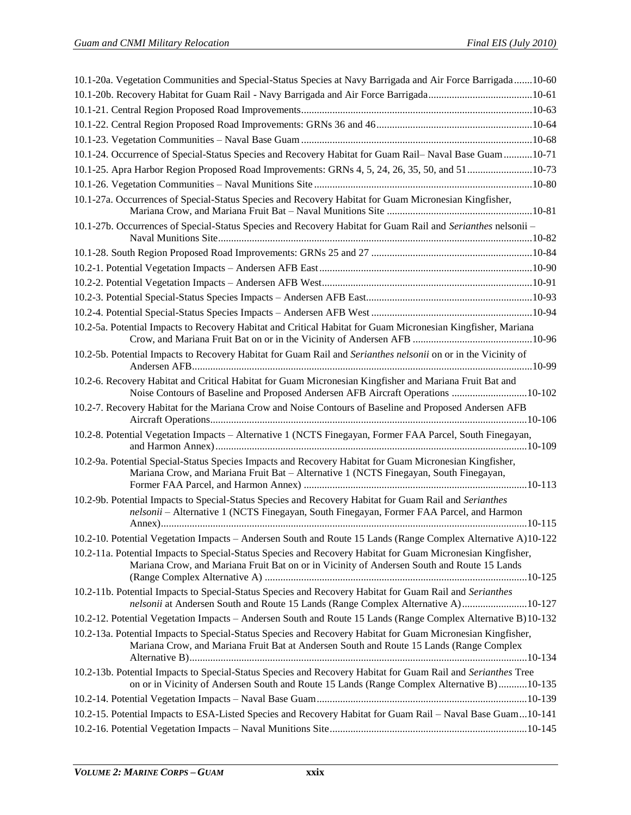| 10.1-20a. Vegetation Communities and Special-Status Species at Navy Barrigada and Air Force Barrigada10-60                                                                                                 |  |
|------------------------------------------------------------------------------------------------------------------------------------------------------------------------------------------------------------|--|
|                                                                                                                                                                                                            |  |
|                                                                                                                                                                                                            |  |
|                                                                                                                                                                                                            |  |
|                                                                                                                                                                                                            |  |
| 10.1-24. Occurrence of Special-Status Species and Recovery Habitat for Guam Rail-Naval Base Guam10-71                                                                                                      |  |
| 10.1-25. Apra Harbor Region Proposed Road Improvements: GRNs 4, 5, 24, 26, 35, 50, and 5110-73                                                                                                             |  |
|                                                                                                                                                                                                            |  |
| 10.1-27a. Occurrences of Special-Status Species and Recovery Habitat for Guam Micronesian Kingfisher,                                                                                                      |  |
| 10.1-27b. Occurrences of Special-Status Species and Recovery Habitat for Guam Rail and Serianthes nelsonii -                                                                                               |  |
|                                                                                                                                                                                                            |  |
|                                                                                                                                                                                                            |  |
|                                                                                                                                                                                                            |  |
|                                                                                                                                                                                                            |  |
|                                                                                                                                                                                                            |  |
| 10.2-5a. Potential Impacts to Recovery Habitat and Critical Habitat for Guam Micronesian Kingfisher, Mariana                                                                                               |  |
| 10.2-5b. Potential Impacts to Recovery Habitat for Guam Rail and Serianthes nelsonii on or in the Vicinity of                                                                                              |  |
| 10.2-6. Recovery Habitat and Critical Habitat for Guam Micronesian Kingfisher and Mariana Fruit Bat and<br>Noise Contours of Baseline and Proposed Andersen AFB Aircraft Operations 10-102                 |  |
| 10.2-7. Recovery Habitat for the Mariana Crow and Noise Contours of Baseline and Proposed Andersen AFB                                                                                                     |  |
| 10.2-8. Potential Vegetation Impacts - Alternative 1 (NCTS Finegayan, Former FAA Parcel, South Finegayan,                                                                                                  |  |
| 10.2-9a. Potential Special-Status Species Impacts and Recovery Habitat for Guam Micronesian Kingfisher,<br>Mariana Crow, and Mariana Fruit Bat - Alternative 1 (NCTS Finegayan, South Finegayan,           |  |
| 10.2-9b. Potential Impacts to Special-Status Species and Recovery Habitat for Guam Rail and Serianthes<br>nelsonii - Alternative 1 (NCTS Finegayan, South Finegayan, Former FAA Parcel, and Harmon         |  |
| 10.2-10. Potential Vegetation Impacts - Andersen South and Route 15 Lands (Range Complex Alternative A)10-122                                                                                              |  |
| 10.2-11a. Potential Impacts to Special-Status Species and Recovery Habitat for Guam Micronesian Kingfisher,<br>Mariana Crow, and Mariana Fruit Bat on or in Vicinity of Andersen South and Route 15 Lands  |  |
| 10.2-11b. Potential Impacts to Special-Status Species and Recovery Habitat for Guam Rail and Serianthes<br>nelsonii at Andersen South and Route 15 Lands (Range Complex Alternative A) 10-127              |  |
| 10.2-12. Potential Vegetation Impacts - Andersen South and Route 15 Lands (Range Complex Alternative B)10-132                                                                                              |  |
| 10.2-13a. Potential Impacts to Special-Status Species and Recovery Habitat for Guam Micronesian Kingfisher,<br>Mariana Crow, and Mariana Fruit Bat at Andersen South and Route 15 Lands (Range Complex     |  |
| 10.2-13b. Potential Impacts to Special-Status Species and Recovery Habitat for Guam Rail and Serianthes Tree<br>on or in Vicinity of Andersen South and Route 15 Lands (Range Complex Alternative B)10-135 |  |
|                                                                                                                                                                                                            |  |
| 10.2-15. Potential Impacts to ESA-Listed Species and Recovery Habitat for Guam Rail - Naval Base Guam10-141                                                                                                |  |
|                                                                                                                                                                                                            |  |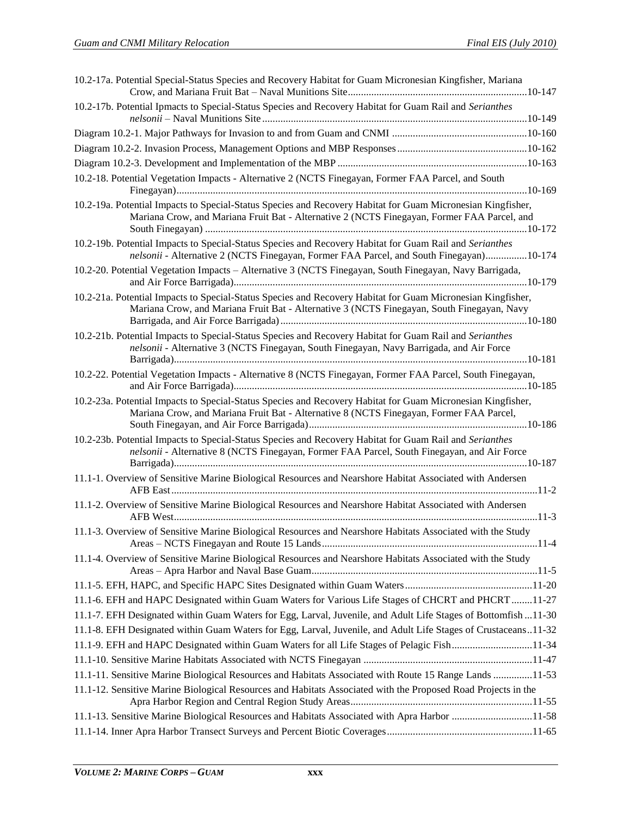| 10.2-17a. Potential Special-Status Species and Recovery Habitat for Guam Micronesian Kingfisher, Mariana                                                                                                   |  |
|------------------------------------------------------------------------------------------------------------------------------------------------------------------------------------------------------------|--|
|                                                                                                                                                                                                            |  |
| 10.2-17b. Potential Ipmacts to Special-Status Species and Recovery Habitat for Guam Rail and Serianthes                                                                                                    |  |
|                                                                                                                                                                                                            |  |
|                                                                                                                                                                                                            |  |
|                                                                                                                                                                                                            |  |
| 10.2-18. Potential Vegetation Impacts - Alternative 2 (NCTS Finegayan, Former FAA Parcel, and South                                                                                                        |  |
| 10.2-19a. Potential Impacts to Special-Status Species and Recovery Habitat for Guam Micronesian Kingfisher,<br>Mariana Crow, and Mariana Fruit Bat - Alternative 2 (NCTS Finegayan, Former FAA Parcel, and |  |
| 10.2-19b. Potential Impacts to Special-Status Species and Recovery Habitat for Guam Rail and Serianthes<br>nelsonii - Alternative 2 (NCTS Finegayan, Former FAA Parcel, and South Finegayan)10-174         |  |
| 10.2-20. Potential Vegetation Impacts - Alternative 3 (NCTS Finegayan, South Finegayan, Navy Barrigada,                                                                                                    |  |
| 10.2-21a. Potential Impacts to Special-Status Species and Recovery Habitat for Guam Micronesian Kingfisher,<br>Mariana Crow, and Mariana Fruit Bat - Alternative 3 (NCTS Finegayan, South Finegayan, Navy  |  |
| 10.2-21b. Potential Impacts to Special-Status Species and Recovery Habitat for Guam Rail and Serianthes<br>nelsonii - Alternative 3 (NCTS Finegayan, South Finegayan, Navy Barrigada, and Air Force        |  |
| 10.2-22. Potential Vegetation Impacts - Alternative 8 (NCTS Finegayan, Former FAA Parcel, South Finegayan,                                                                                                 |  |
| 10.2-23a. Potential Impacts to Special-Status Species and Recovery Habitat for Guam Micronesian Kingfisher,<br>Mariana Crow, and Mariana Fruit Bat - Alternative 8 (NCTS Finegayan, Former FAA Parcel,     |  |
|                                                                                                                                                                                                            |  |
| 10.2-23b. Potential Impacts to Special-Status Species and Recovery Habitat for Guam Rail and Serianthes<br>nelsonii - Alternative 8 (NCTS Finegayan, Former FAA Parcel, South Finegayan, and Air Force     |  |
| 11.1-1. Overview of Sensitive Marine Biological Resources and Nearshore Habitat Associated with Andersen                                                                                                   |  |
| 11.1-2. Overview of Sensitive Marine Biological Resources and Nearshore Habitat Associated with Andersen                                                                                                   |  |
| 11.1-3. Overview of Sensitive Marine Biological Resources and Nearshore Habitats Associated with the Study                                                                                                 |  |
| 11.1-4. Overview of Sensitive Marine Biological Resources and Nearshore Habitats Associated with the Study                                                                                                 |  |
|                                                                                                                                                                                                            |  |
| 11.1-6. EFH and HAPC Designated within Guam Waters for Various Life Stages of CHCRT and PHCRT 11-27                                                                                                        |  |
| 11.1-7. EFH Designated within Guam Waters for Egg, Larval, Juvenile, and Adult Life Stages of Bottomfish11-30                                                                                              |  |
| 11.1-8. EFH Designated within Guam Waters for Egg, Larval, Juvenile, and Adult Life Stages of Crustaceans11-32                                                                                             |  |
| 11.1-9. EFH and HAPC Designated within Guam Waters for all Life Stages of Pelagic Fish11-34                                                                                                                |  |
|                                                                                                                                                                                                            |  |
| 11.1-11. Sensitive Marine Biological Resources and Habitats Associated with Route 15 Range Lands 11-53                                                                                                     |  |
| 11.1-12. Sensitive Marine Biological Resources and Habitats Associated with the Proposed Road Projects in the                                                                                              |  |
| 11.1-13. Sensitive Marine Biological Resources and Habitats Associated with Apra Harbor 11-58                                                                                                              |  |
|                                                                                                                                                                                                            |  |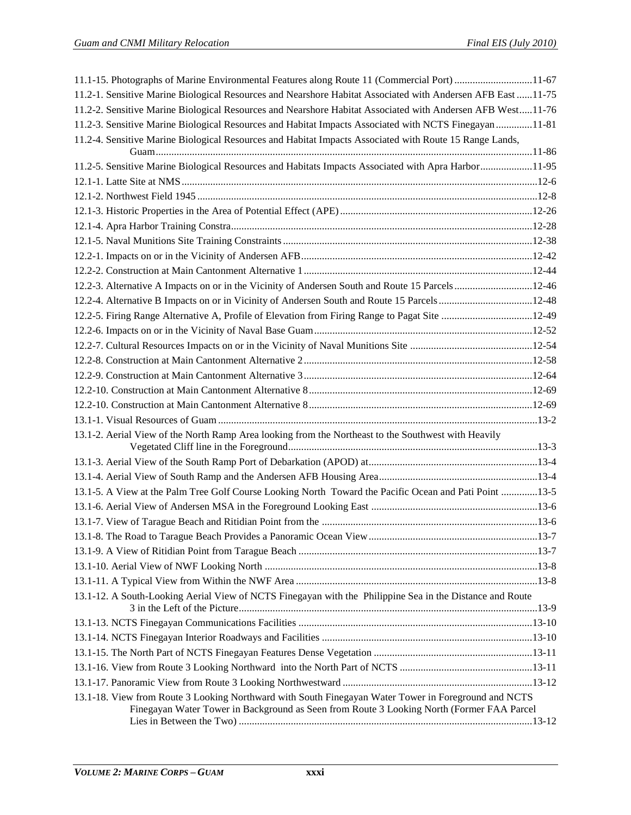| 11.1-15. Photographs of Marine Environmental Features along Route 11 (Commercial Port) 11-67                                                                                                      |  |
|---------------------------------------------------------------------------------------------------------------------------------------------------------------------------------------------------|--|
| 11.2-1. Sensitive Marine Biological Resources and Nearshore Habitat Associated with Andersen AFB East 11-75                                                                                       |  |
| 11.2-2. Sensitive Marine Biological Resources and Nearshore Habitat Associated with Andersen AFB West11-76                                                                                        |  |
| 11.2-3. Sensitive Marine Biological Resources and Habitat Impacts Associated with NCTS Finegayan 11-81                                                                                            |  |
| 11.2-4. Sensitive Marine Biological Resources and Habitat Impacts Associated with Route 15 Range Lands,                                                                                           |  |
|                                                                                                                                                                                                   |  |
| 11.2-5. Sensitive Marine Biological Resources and Habitats Impacts Associated with Apra Harbor11-95                                                                                               |  |
|                                                                                                                                                                                                   |  |
|                                                                                                                                                                                                   |  |
|                                                                                                                                                                                                   |  |
|                                                                                                                                                                                                   |  |
|                                                                                                                                                                                                   |  |
|                                                                                                                                                                                                   |  |
|                                                                                                                                                                                                   |  |
| 12.2-3. Alternative A Impacts on or in the Vicinity of Andersen South and Route 15 Parcels12-46                                                                                                   |  |
| 12.2-4. Alternative B Impacts on or in Vicinity of Andersen South and Route 15 Parcels12-48                                                                                                       |  |
| 12.2-5. Firing Range Alternative A, Profile of Elevation from Firing Range to Pagat Site 12-49                                                                                                    |  |
|                                                                                                                                                                                                   |  |
|                                                                                                                                                                                                   |  |
|                                                                                                                                                                                                   |  |
|                                                                                                                                                                                                   |  |
|                                                                                                                                                                                                   |  |
|                                                                                                                                                                                                   |  |
|                                                                                                                                                                                                   |  |
| 13.1-2. Aerial View of the North Ramp Area looking from the Northeast to the Southwest with Heavily                                                                                               |  |
|                                                                                                                                                                                                   |  |
|                                                                                                                                                                                                   |  |
|                                                                                                                                                                                                   |  |
| 13.1-5. A View at the Palm Tree Golf Course Looking North Toward the Pacific Ocean and Pati Point 13-5                                                                                            |  |
|                                                                                                                                                                                                   |  |
|                                                                                                                                                                                                   |  |
|                                                                                                                                                                                                   |  |
|                                                                                                                                                                                                   |  |
|                                                                                                                                                                                                   |  |
|                                                                                                                                                                                                   |  |
| 13.1-12. A South-Looking Aerial View of NCTS Finegayan with the Philippine Sea in the Distance and Route                                                                                          |  |
|                                                                                                                                                                                                   |  |
|                                                                                                                                                                                                   |  |
|                                                                                                                                                                                                   |  |
|                                                                                                                                                                                                   |  |
|                                                                                                                                                                                                   |  |
| 13.1-18. View from Route 3 Looking Northward with South Finegayan Water Tower in Foreground and NCTS<br>Finegayan Water Tower in Background as Seen from Route 3 Looking North (Former FAA Parcel |  |
|                                                                                                                                                                                                   |  |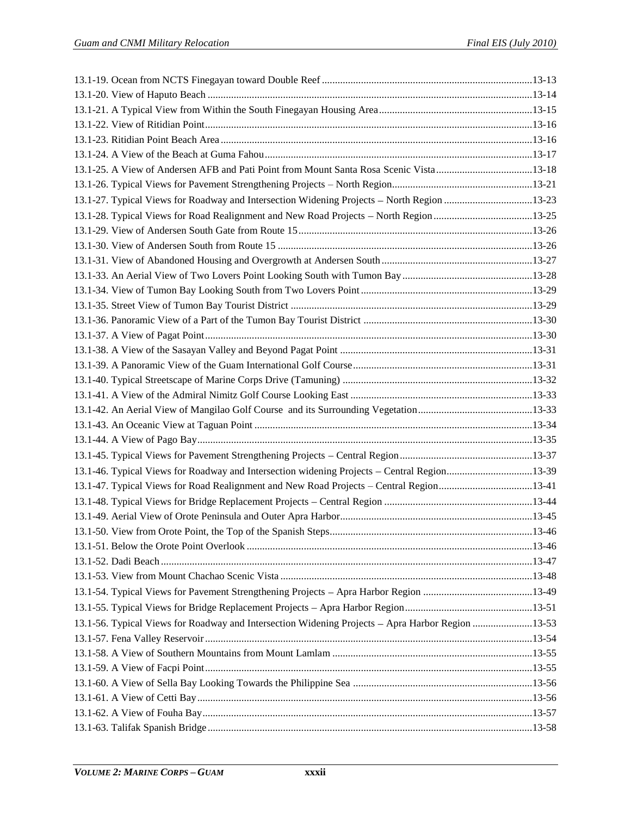| 13.1-25. A View of Andersen AFB and Pati Point from Mount Santa Rosa Scenic Vista13-18           |  |
|--------------------------------------------------------------------------------------------------|--|
|                                                                                                  |  |
| 13.1-27. Typical Views for Roadway and Intersection Widening Projects - North Region 13-23       |  |
| 13.1-28. Typical Views for Road Realignment and New Road Projects – North Region 13-25           |  |
|                                                                                                  |  |
|                                                                                                  |  |
|                                                                                                  |  |
|                                                                                                  |  |
|                                                                                                  |  |
|                                                                                                  |  |
|                                                                                                  |  |
|                                                                                                  |  |
|                                                                                                  |  |
|                                                                                                  |  |
|                                                                                                  |  |
|                                                                                                  |  |
|                                                                                                  |  |
|                                                                                                  |  |
|                                                                                                  |  |
|                                                                                                  |  |
| 13.1-46. Typical Views for Roadway and Intersection widening Projects – Central Region13-39      |  |
| 13.1-47. Typical Views for Road Realignment and New Road Projects - Central Region13-41          |  |
|                                                                                                  |  |
|                                                                                                  |  |
|                                                                                                  |  |
|                                                                                                  |  |
|                                                                                                  |  |
|                                                                                                  |  |
|                                                                                                  |  |
|                                                                                                  |  |
| 13.1-56. Typical Views for Roadway and Intersection Widening Projects – Apra Harbor Region 13-53 |  |
|                                                                                                  |  |
|                                                                                                  |  |
|                                                                                                  |  |
|                                                                                                  |  |
|                                                                                                  |  |
|                                                                                                  |  |
|                                                                                                  |  |
|                                                                                                  |  |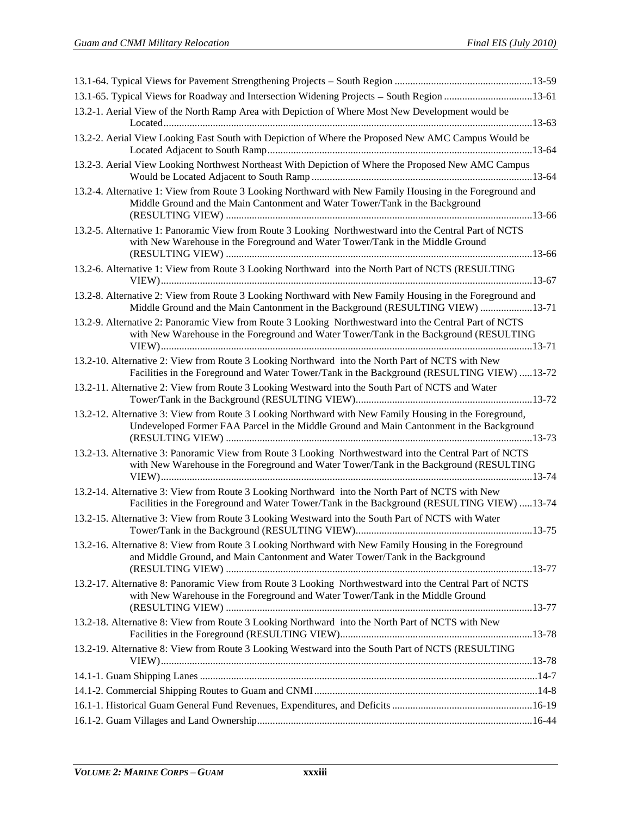| 13.1-65. Typical Views for Roadway and Intersection Widening Projects – South Region 13-61                                                                                                         |  |
|----------------------------------------------------------------------------------------------------------------------------------------------------------------------------------------------------|--|
| 13.2-1. Aerial View of the North Ramp Area with Depiction of Where Most New Development would be                                                                                                   |  |
| 13.2-2. Aerial View Looking East South with Depiction of Where the Proposed New AMC Campus Would be                                                                                                |  |
| 13.2-3. Aerial View Looking Northwest Northeast With Depiction of Where the Proposed New AMC Campus                                                                                                |  |
| 13.2-4. Alternative 1: View from Route 3 Looking Northward with New Family Housing in the Foreground and<br>Middle Ground and the Main Cantonment and Water Tower/Tank in the Background           |  |
| 13.2-5. Alternative 1: Panoramic View from Route 3 Looking Northwestward into the Central Part of NCTS<br>with New Warehouse in the Foreground and Water Tower/Tank in the Middle Ground           |  |
| 13.2-6. Alternative 1: View from Route 3 Looking Northward into the North Part of NCTS (RESULTING                                                                                                  |  |
| 13.2-8. Alternative 2: View from Route 3 Looking Northward with New Family Housing in the Foreground and<br>Middle Ground and the Main Cantonment in the Background (RESULTING VIEW) 13-71         |  |
| 13.2-9. Alternative 2: Panoramic View from Route 3 Looking Northwestward into the Central Part of NCTS<br>with New Warehouse in the Foreground and Water Tower/Tank in the Background (RESULTING   |  |
| 13.2-10. Alternative 2: View from Route 3 Looking Northward into the North Part of NCTS with New<br>Facilities in the Foreground and Water Tower/Tank in the Background (RESULTING VIEW) 13-72     |  |
| 13.2-11. Alternative 2: View from Route 3 Looking Westward into the South Part of NCTS and Water                                                                                                   |  |
| 13.2-12. Alternative 3: View from Route 3 Looking Northward with New Family Housing in the Foreground,<br>Undeveloped Former FAA Parcel in the Middle Ground and Main Cantonment in the Background |  |
| 13.2-13. Alternative 3: Panoramic View from Route 3 Looking Northwestward into the Central Part of NCTS<br>with New Warehouse in the Foreground and Water Tower/Tank in the Background (RESULTING  |  |
| 13.2-14. Alternative 3: View from Route 3 Looking Northward into the North Part of NCTS with New<br>Facilities in the Foreground and Water Tower/Tank in the Background (RESULTING VIEW) 13-74     |  |
| 13.2-15. Alternative 3: View from Route 3 Looking Westward into the South Part of NCTS with Water                                                                                                  |  |
| 13.2-16. Alternative 8: View from Route 3 Looking Northward with New Family Housing in the Foreground<br>and Middle Ground, and Main Cantonment and Water Tower/Tank in the Background             |  |
| 13.2-17. Alternative 8: Panoramic View from Route 3 Looking Northwestward into the Central Part of NCTS<br>with New Warehouse in the Foreground and Water Tower/Tank in the Middle Ground          |  |
| 13.2-18. Alternative 8: View from Route 3 Looking Northward into the North Part of NCTS with New                                                                                                   |  |
| 13.2-19. Alternative 8: View from Route 3 Looking Westward into the South Part of NCTS (RESULTING                                                                                                  |  |
|                                                                                                                                                                                                    |  |
|                                                                                                                                                                                                    |  |
|                                                                                                                                                                                                    |  |
|                                                                                                                                                                                                    |  |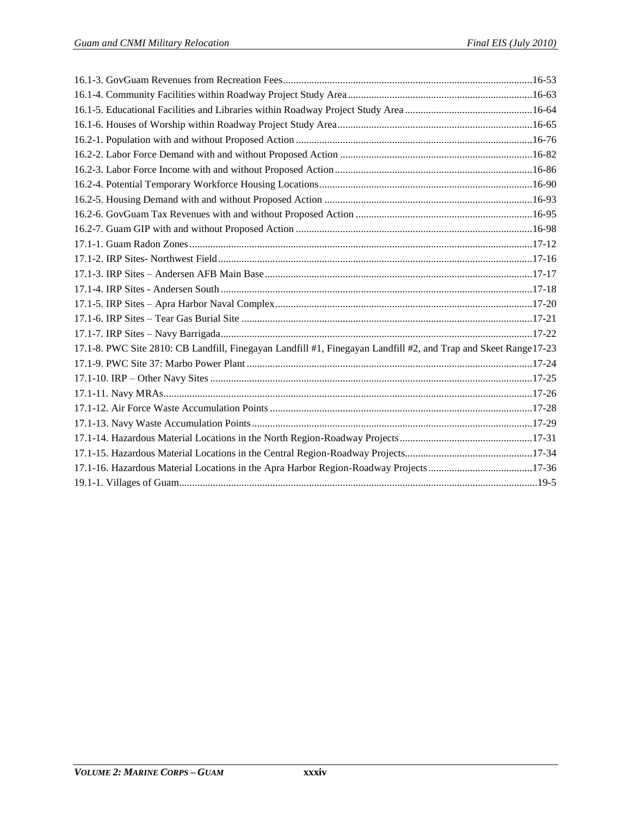| 17.1-8. PWC Site 2810: CB Landfill, Finegayan Landfill #1, Finegayan Landfill #2, and Trap and Skeet Range 17-23 |  |
|------------------------------------------------------------------------------------------------------------------|--|
|                                                                                                                  |  |
|                                                                                                                  |  |
|                                                                                                                  |  |
|                                                                                                                  |  |
|                                                                                                                  |  |
|                                                                                                                  |  |
|                                                                                                                  |  |
| 17.1-16. Hazardous Material Locations in the Apra Harbor Region-Roadway Projects17-36                            |  |
|                                                                                                                  |  |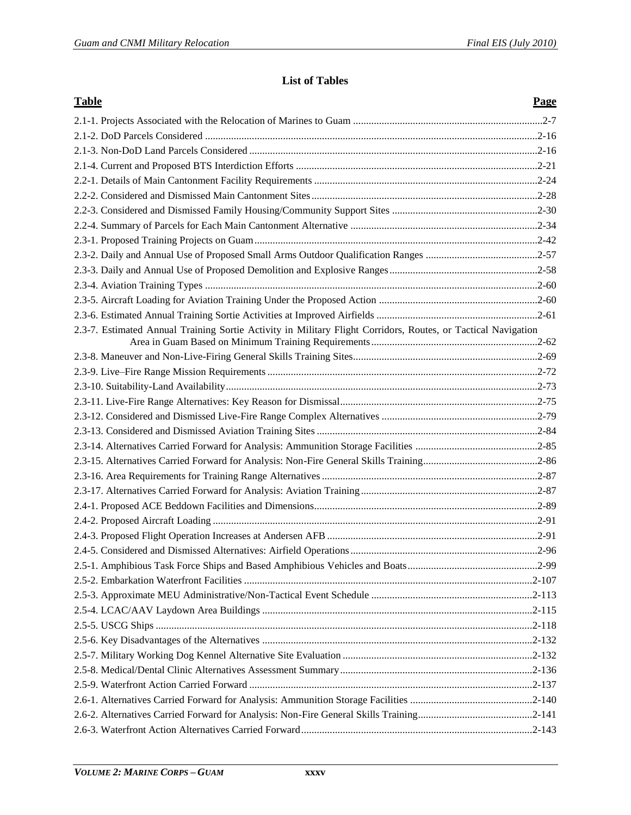## **List of Tables**

| <b>Table</b>                                                                                                  | Page |
|---------------------------------------------------------------------------------------------------------------|------|
|                                                                                                               |      |
|                                                                                                               |      |
|                                                                                                               |      |
|                                                                                                               |      |
|                                                                                                               |      |
|                                                                                                               |      |
|                                                                                                               |      |
|                                                                                                               |      |
|                                                                                                               |      |
|                                                                                                               |      |
|                                                                                                               |      |
|                                                                                                               |      |
|                                                                                                               |      |
|                                                                                                               |      |
| 2.3-7. Estimated Annual Training Sortie Activity in Military Flight Corridors, Routes, or Tactical Navigation |      |
|                                                                                                               |      |
|                                                                                                               |      |
|                                                                                                               |      |
|                                                                                                               |      |
|                                                                                                               |      |
|                                                                                                               |      |
|                                                                                                               |      |
|                                                                                                               |      |
|                                                                                                               |      |
|                                                                                                               |      |
|                                                                                                               |      |
|                                                                                                               |      |
|                                                                                                               |      |
|                                                                                                               |      |
|                                                                                                               |      |
|                                                                                                               |      |
|                                                                                                               |      |
|                                                                                                               |      |
|                                                                                                               |      |
|                                                                                                               |      |
|                                                                                                               |      |
|                                                                                                               |      |
|                                                                                                               |      |
|                                                                                                               |      |
|                                                                                                               |      |
|                                                                                                               |      |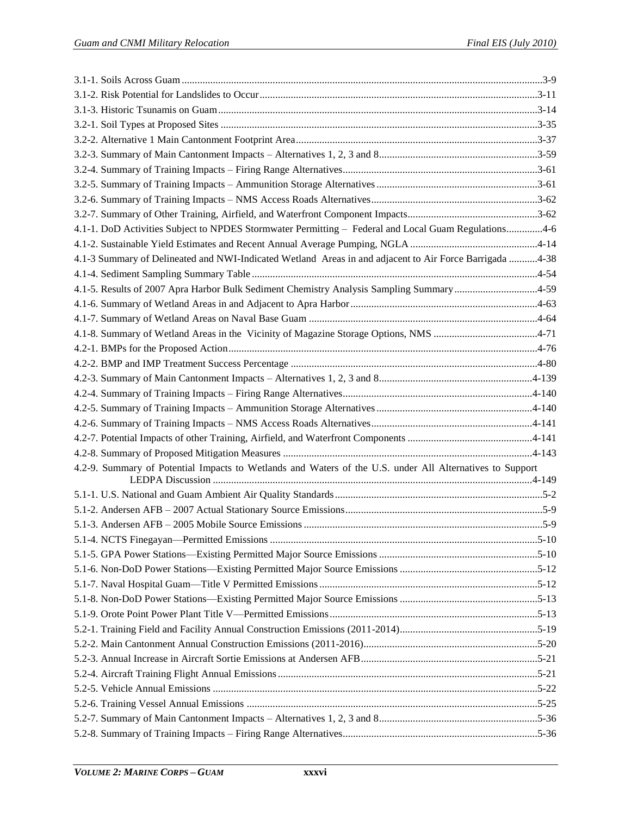| 4.1-1. DoD Activities Subject to NPDES Stormwater Permitting - Federal and Local Guam Regulations4-6     |  |
|----------------------------------------------------------------------------------------------------------|--|
|                                                                                                          |  |
| 4.1-3 Summary of Delineated and NWI-Indicated Wetland Areas in and adjacent to Air Force Barrigada 4-38  |  |
|                                                                                                          |  |
| 4.1-5. Results of 2007 Apra Harbor Bulk Sediment Chemistry Analysis Sampling Summary 4-59                |  |
|                                                                                                          |  |
|                                                                                                          |  |
|                                                                                                          |  |
|                                                                                                          |  |
|                                                                                                          |  |
|                                                                                                          |  |
|                                                                                                          |  |
|                                                                                                          |  |
|                                                                                                          |  |
|                                                                                                          |  |
|                                                                                                          |  |
| 4.2-9. Summary of Potential Impacts to Wetlands and Waters of the U.S. under All Alternatives to Support |  |
|                                                                                                          |  |
|                                                                                                          |  |
|                                                                                                          |  |
|                                                                                                          |  |
|                                                                                                          |  |
|                                                                                                          |  |
|                                                                                                          |  |
|                                                                                                          |  |
|                                                                                                          |  |
|                                                                                                          |  |
|                                                                                                          |  |
|                                                                                                          |  |
|                                                                                                          |  |
|                                                                                                          |  |
|                                                                                                          |  |
|                                                                                                          |  |
|                                                                                                          |  |
|                                                                                                          |  |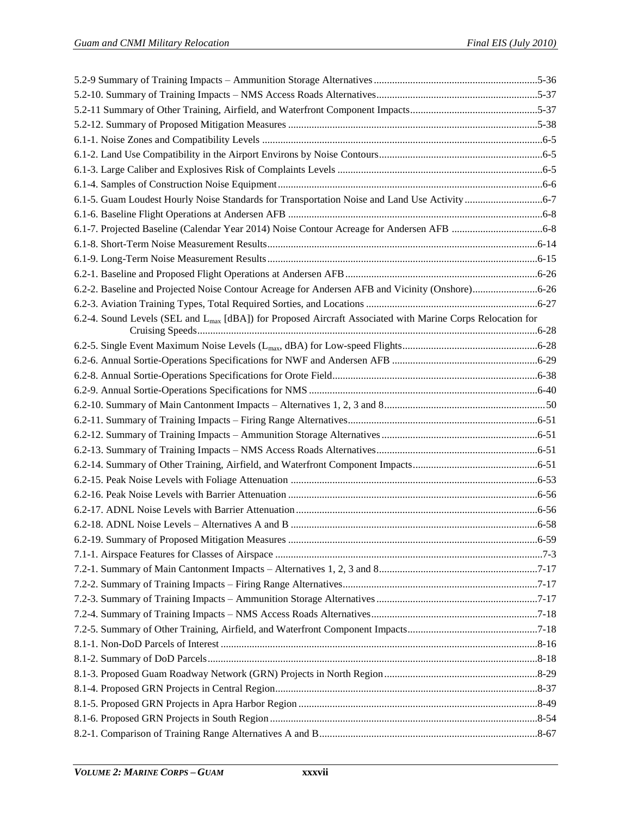| 6.2-2. Baseline and Projected Noise Contour Acreage for Andersen AFB and Vicinity (Onshore)6-26                        |  |
|------------------------------------------------------------------------------------------------------------------------|--|
|                                                                                                                        |  |
| 6.2-4. Sound Levels (SEL and L <sub>max</sub> [dBA]) for Proposed Aircraft Associated with Marine Corps Relocation for |  |
|                                                                                                                        |  |
|                                                                                                                        |  |
|                                                                                                                        |  |
|                                                                                                                        |  |
|                                                                                                                        |  |
|                                                                                                                        |  |
|                                                                                                                        |  |
|                                                                                                                        |  |
|                                                                                                                        |  |
|                                                                                                                        |  |
|                                                                                                                        |  |
|                                                                                                                        |  |
|                                                                                                                        |  |
|                                                                                                                        |  |
|                                                                                                                        |  |
|                                                                                                                        |  |
|                                                                                                                        |  |
|                                                                                                                        |  |
|                                                                                                                        |  |
|                                                                                                                        |  |
|                                                                                                                        |  |
|                                                                                                                        |  |
|                                                                                                                        |  |
|                                                                                                                        |  |
|                                                                                                                        |  |
|                                                                                                                        |  |
|                                                                                                                        |  |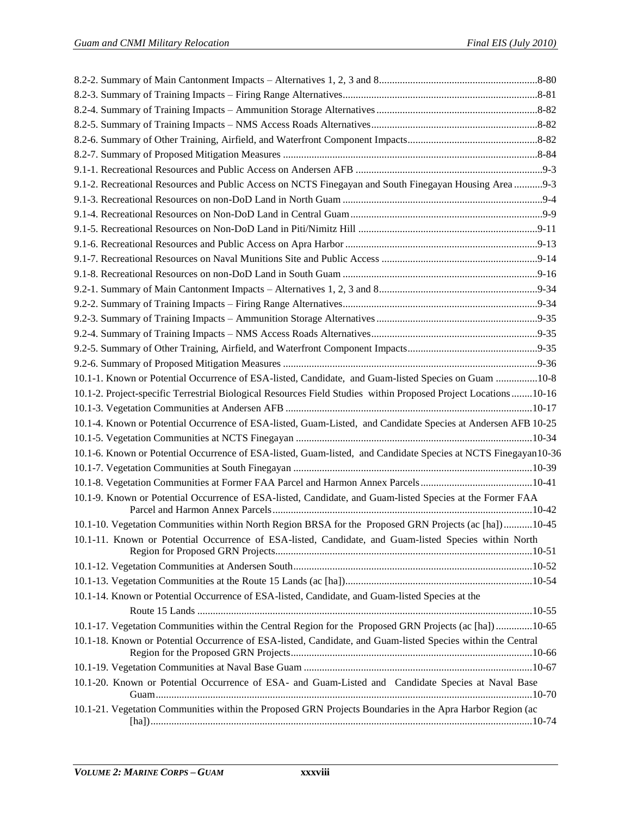| 9.1-2. Recreational Resources and Public Access on NCTS Finegayan and South Finegayan Housing Area 9-3         |  |
|----------------------------------------------------------------------------------------------------------------|--|
|                                                                                                                |  |
|                                                                                                                |  |
|                                                                                                                |  |
|                                                                                                                |  |
|                                                                                                                |  |
|                                                                                                                |  |
|                                                                                                                |  |
|                                                                                                                |  |
|                                                                                                                |  |
|                                                                                                                |  |
|                                                                                                                |  |
|                                                                                                                |  |
| 10.1-1. Known or Potential Occurrence of ESA-listed, Candidate, and Guam-listed Species on Guam 10-8           |  |
| 10.1-2. Project-specific Terrestrial Biological Resources Field Studies within Proposed Project Locations10-16 |  |
|                                                                                                                |  |
| 10.1-4. Known or Potential Occurrence of ESA-listed, Guam-Listed, and Candidate Species at Andersen AFB 10-25  |  |
|                                                                                                                |  |
| 10.1-6. Known or Potential Occurrence of ESA-listed, Guam-listed, and Candidate Species at NCTS Finegayan10-36 |  |
|                                                                                                                |  |
|                                                                                                                |  |
| 10.1-9. Known or Potential Occurrence of ESA-listed, Candidate, and Guam-listed Species at the Former FAA      |  |
| 10.1-10. Vegetation Communities within North Region BRSA for the Proposed GRN Projects (ac [ha])10-45          |  |
| 10.1-11. Known or Potential Occurrence of ESA-listed, Candidate, and Guam-listed Species within North          |  |
|                                                                                                                |  |
|                                                                                                                |  |
| 10.1-14. Known or Potential Occurrence of ESA-listed, Candidate, and Guam-listed Species at the                |  |
|                                                                                                                |  |
| 10.1-17. Vegetation Communities within the Central Region for the Proposed GRN Projects (ac [ha]) 10-65        |  |
| 10.1-18. Known or Potential Occurrence of ESA-listed, Candidate, and Guam-listed Species within the Central    |  |
|                                                                                                                |  |
| 10.1-20. Known or Potential Occurrence of ESA- and Guam-Listed and Candidate Species at Naval Base             |  |
| 10.1-21. Vegetation Communities within the Proposed GRN Projects Boundaries in the Apra Harbor Region (ac      |  |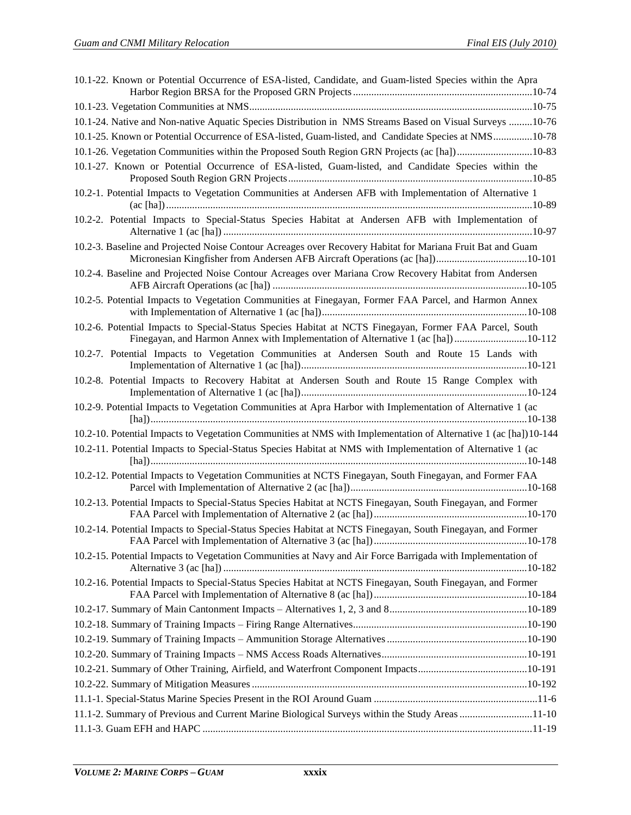| 10.1-22. Known or Potential Occurrence of ESA-listed, Candidate, and Guam-listed Species within the Apra                                                                                     |  |
|----------------------------------------------------------------------------------------------------------------------------------------------------------------------------------------------|--|
|                                                                                                                                                                                              |  |
|                                                                                                                                                                                              |  |
| 10.1-24. Native and Non-native Aquatic Species Distribution in NMS Streams Based on Visual Surveys 10-76                                                                                     |  |
| 10.1-25. Known or Potential Occurrence of ESA-listed, Guam-listed, and Candidate Species at NMS10-78                                                                                         |  |
|                                                                                                                                                                                              |  |
| 10.1-27. Known or Potential Occurrence of ESA-listed, Guam-listed, and Candidate Species within the                                                                                          |  |
| 10.2-1. Potential Impacts to Vegetation Communities at Andersen AFB with Implementation of Alternative 1                                                                                     |  |
| 10.2-2. Potential Impacts to Special-Status Species Habitat at Andersen AFB with Implementation of                                                                                           |  |
| 10.2-3. Baseline and Projected Noise Contour Acreages over Recovery Habitat for Mariana Fruit Bat and Guam<br>Micronesian Kingfisher from Andersen AFB Aircraft Operations (ac [ha])10-101   |  |
| 10.2-4. Baseline and Projected Noise Contour Acreages over Mariana Crow Recovery Habitat from Andersen                                                                                       |  |
| 10.2-5. Potential Impacts to Vegetation Communities at Finegayan, Former FAA Parcel, and Harmon Annex                                                                                        |  |
| 10.2-6. Potential Impacts to Special-Status Species Habitat at NCTS Finegayan, Former FAA Parcel, South<br>Finegayan, and Harmon Annex with Implementation of Alternative 1 (ac [ha]) 10-112 |  |
| 10.2-7. Potential Impacts to Vegetation Communities at Andersen South and Route 15 Lands with                                                                                                |  |
| 10.2-8. Potential Impacts to Recovery Habitat at Andersen South and Route 15 Range Complex with                                                                                              |  |
| 10.2-9. Potential Impacts to Vegetation Communities at Apra Harbor with Implementation of Alternative 1 (ac                                                                                  |  |
| 10.2-10. Potential Impacts to Vegetation Communities at NMS with Implementation of Alternative 1 (ac [ha])10-144                                                                             |  |
| 10.2-11. Potential Impacts to Special-Status Species Habitat at NMS with Implementation of Alternative 1 (ac                                                                                 |  |
| 10.2-12. Potential Impacts to Vegetation Communities at NCTS Finegayan, South Finegayan, and Former FAA                                                                                      |  |
| 10.2-13. Potential Impacts to Special-Status Species Habitat at NCTS Finegayan, South Finegayan, and Former                                                                                  |  |
| 10.2-14. Potential Impacts to Special-Status Species Habitat at NCTS Finegayan, South Finegayan, and Former                                                                                  |  |
| 10.2-15. Potential Impacts to Vegetation Communities at Navy and Air Force Barrigada with Implementation of                                                                                  |  |
| 10.2-16. Potential Impacts to Special-Status Species Habitat at NCTS Finegayan, South Finegayan, and Former                                                                                  |  |
|                                                                                                                                                                                              |  |
|                                                                                                                                                                                              |  |
|                                                                                                                                                                                              |  |
|                                                                                                                                                                                              |  |
|                                                                                                                                                                                              |  |
|                                                                                                                                                                                              |  |
|                                                                                                                                                                                              |  |
| 11.1-2. Summary of Previous and Current Marine Biological Surveys within the Study Areas 11-10                                                                                               |  |
|                                                                                                                                                                                              |  |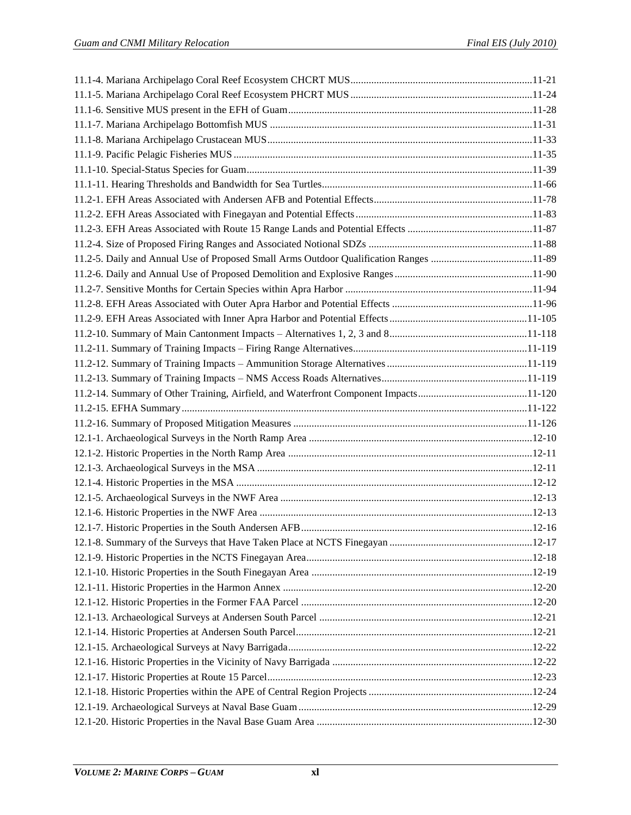| 11.2-5. Daily and Annual Use of Proposed Small Arms Outdoor Qualification Ranges 11-89 |  |
|----------------------------------------------------------------------------------------|--|
|                                                                                        |  |
|                                                                                        |  |
|                                                                                        |  |
|                                                                                        |  |
|                                                                                        |  |
|                                                                                        |  |
|                                                                                        |  |
|                                                                                        |  |
|                                                                                        |  |
|                                                                                        |  |
|                                                                                        |  |
|                                                                                        |  |
|                                                                                        |  |
|                                                                                        |  |
|                                                                                        |  |
|                                                                                        |  |
|                                                                                        |  |
|                                                                                        |  |
|                                                                                        |  |
|                                                                                        |  |
|                                                                                        |  |
|                                                                                        |  |
|                                                                                        |  |
|                                                                                        |  |
|                                                                                        |  |
|                                                                                        |  |
|                                                                                        |  |
|                                                                                        |  |
|                                                                                        |  |
|                                                                                        |  |
|                                                                                        |  |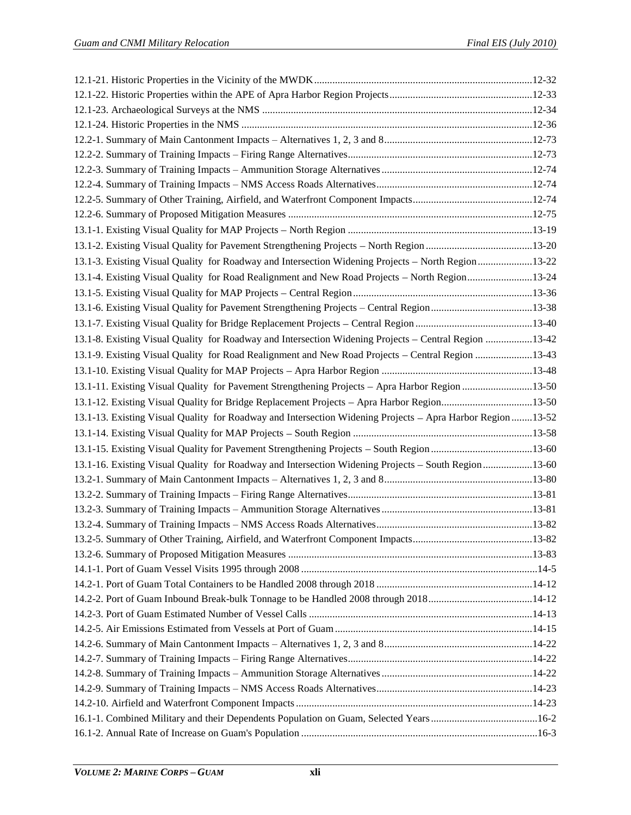| 13.1-3. Existing Visual Quality for Roadway and Intersection Widening Projects - North Region 13-22        |  |
|------------------------------------------------------------------------------------------------------------|--|
| 13.1-4. Existing Visual Quality for Road Realignment and New Road Projects - North Region 13-24            |  |
|                                                                                                            |  |
| 13.1-6. Existing Visual Quality for Pavement Strengthening Projects - Central Region13-38                  |  |
|                                                                                                            |  |
| 13.1-8. Existing Visual Quality for Roadway and Intersection Widening Projects – Central Region 13-42      |  |
| 13.1-9. Existing Visual Quality for Road Realignment and New Road Projects – Central Region 13-43          |  |
|                                                                                                            |  |
| 13.1-11. Existing Visual Quality for Pavement Strengthening Projects - Apra Harbor Region 13-50            |  |
| 13.1-12. Existing Visual Quality for Bridge Replacement Projects - Apra Harbor Region13-50                 |  |
|                                                                                                            |  |
|                                                                                                            |  |
| 13.1-13. Existing Visual Quality for Roadway and Intersection Widening Projects - Apra Harbor Region 13-52 |  |
|                                                                                                            |  |
| 13.1-15. Existing Visual Quality for Pavement Strengthening Projects – South Region 13-60                  |  |
| 13.1-16. Existing Visual Quality for Roadway and Intersection Widening Projects - South Region 13-60       |  |
|                                                                                                            |  |
|                                                                                                            |  |
|                                                                                                            |  |
|                                                                                                            |  |
|                                                                                                            |  |
|                                                                                                            |  |
|                                                                                                            |  |
|                                                                                                            |  |
|                                                                                                            |  |
|                                                                                                            |  |
|                                                                                                            |  |
|                                                                                                            |  |
|                                                                                                            |  |
|                                                                                                            |  |
|                                                                                                            |  |
| 16-2. Combined Military and their Dependents Population on Guam, Selected Years16-2                        |  |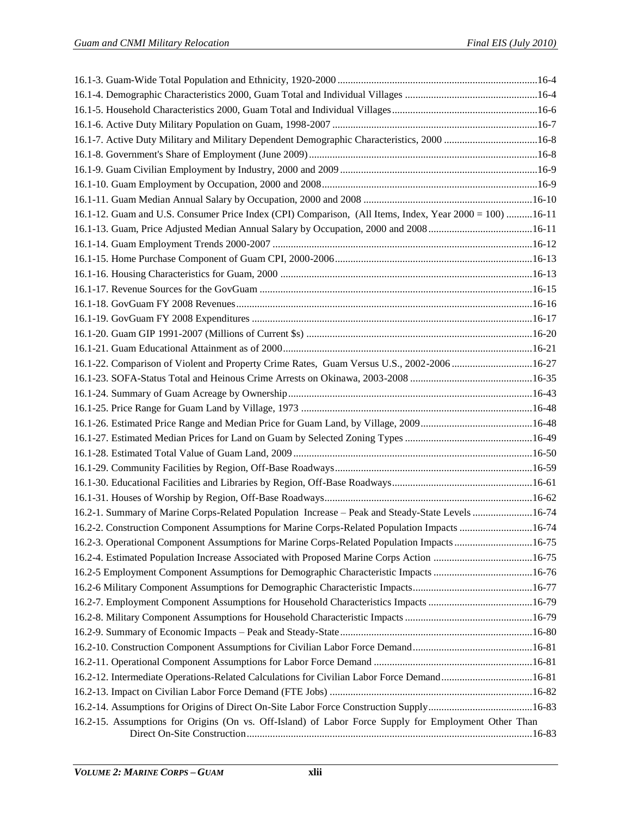| 16-8. Active Duty Military and Military Dependent Demographic Characteristics, 2000 16-8                |  |
|---------------------------------------------------------------------------------------------------------|--|
|                                                                                                         |  |
|                                                                                                         |  |
|                                                                                                         |  |
|                                                                                                         |  |
| 16.1-12. Guam and U.S. Consumer Price Index (CPI) Comparison, (All Items, Index, Year 2000 = 100) 16-11 |  |
|                                                                                                         |  |
|                                                                                                         |  |
|                                                                                                         |  |
|                                                                                                         |  |
|                                                                                                         |  |
|                                                                                                         |  |
|                                                                                                         |  |
|                                                                                                         |  |
|                                                                                                         |  |
| 16.1-22. Comparison of Violent and Property Crime Rates, Guam Versus U.S., 2002-2006 16-27              |  |
|                                                                                                         |  |
|                                                                                                         |  |
|                                                                                                         |  |
|                                                                                                         |  |
|                                                                                                         |  |
|                                                                                                         |  |
|                                                                                                         |  |
|                                                                                                         |  |
|                                                                                                         |  |
| 16.2-1. Summary of Marine Corps-Related Population Increase - Peak and Steady-State Levels 16-74        |  |
| 16.2-2. Construction Component Assumptions for Marine Corps-Related Population Impacts 16-74            |  |
| 16.2-3. Operational Component Assumptions for Marine Corps-Related Population Impacts16-75              |  |
| 16.2-4. Estimated Population Increase Associated with Proposed Marine Corps Action 16-75                |  |
| 16.2-5 Employment Component Assumptions for Demographic Characteristic Impacts 16-76                    |  |
|                                                                                                         |  |
|                                                                                                         |  |
|                                                                                                         |  |
|                                                                                                         |  |
|                                                                                                         |  |
|                                                                                                         |  |
| 16-212. Intermediate Operations-Related Calculations for Civilian Labor Force Demand16-81               |  |
|                                                                                                         |  |
|                                                                                                         |  |
| 16.2-15. Assumptions for Origins (On vs. Off-Island) of Labor Force Supply for Employment Other Than    |  |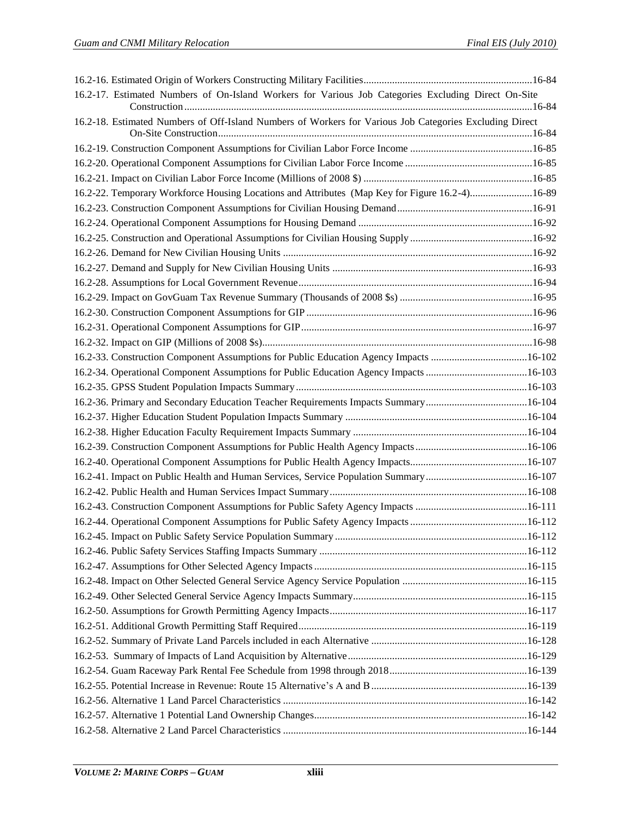| 16.2-17. Estimated Numbers of On-Island Workers for Various Job Categories Excluding Direct On-Site     |  |
|---------------------------------------------------------------------------------------------------------|--|
| 16.2-18. Estimated Numbers of Off-Island Numbers of Workers for Various Job Categories Excluding Direct |  |
|                                                                                                         |  |
|                                                                                                         |  |
|                                                                                                         |  |
| 16.2-22. Temporary Workforce Housing Locations and Attributes (Map Key for Figure 16.2-4)16-89          |  |
|                                                                                                         |  |
|                                                                                                         |  |
|                                                                                                         |  |
|                                                                                                         |  |
|                                                                                                         |  |
|                                                                                                         |  |
|                                                                                                         |  |
|                                                                                                         |  |
|                                                                                                         |  |
|                                                                                                         |  |
| 16.2-33. Construction Component Assumptions for Public Education Agency Impacts 16-102                  |  |
|                                                                                                         |  |
|                                                                                                         |  |
| 16.2-36. Primary and Secondary Education Teacher Requirements Impacts Summary16-104                     |  |
|                                                                                                         |  |
|                                                                                                         |  |
|                                                                                                         |  |
|                                                                                                         |  |
|                                                                                                         |  |
|                                                                                                         |  |
|                                                                                                         |  |
|                                                                                                         |  |
|                                                                                                         |  |
|                                                                                                         |  |
|                                                                                                         |  |
|                                                                                                         |  |
|                                                                                                         |  |
|                                                                                                         |  |
|                                                                                                         |  |
|                                                                                                         |  |
|                                                                                                         |  |
|                                                                                                         |  |
|                                                                                                         |  |
|                                                                                                         |  |
|                                                                                                         |  |
|                                                                                                         |  |